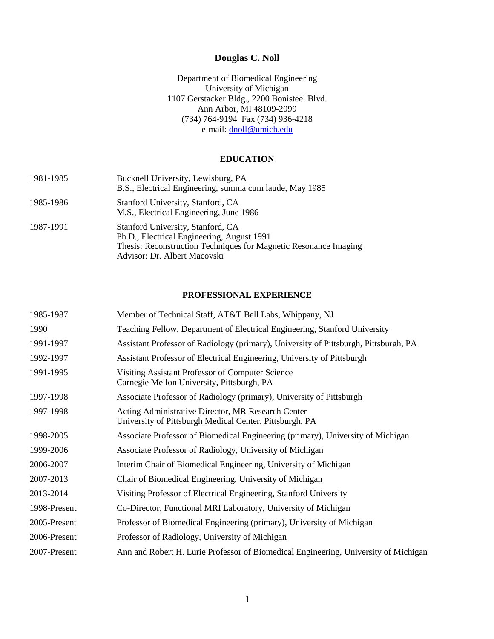# **Douglas C. Noll**

Department of Biomedical Engineering University of Michigan 1107 Gerstacker Bldg., 2200 Bonisteel Blvd. Ann Arbor, MI 48109-2099 (734) 764-9194 Fax (734) 936-4218 e-mail: [dnoll@umich.edu](mailto:dnoll@eecs.umich.edu)

## **EDUCATION**

| 1981-1985 | Bucknell University, Lewisburg, PA<br>B.S., Electrical Engineering, summa cum laude, May 1985                                                                                       |
|-----------|-------------------------------------------------------------------------------------------------------------------------------------------------------------------------------------|
| 1985-1986 | Stanford University, Stanford, CA<br>M.S., Electrical Engineering, June 1986                                                                                                        |
| 1987-1991 | Stanford University, Stanford, CA<br>Ph.D., Electrical Engineering, August 1991<br>Thesis: Reconstruction Techniques for Magnetic Resonance Imaging<br>Advisor: Dr. Albert Macovski |

## **PROFESSIONAL EXPERIENCE**

| 1985-1987    | Member of Technical Staff, AT&T Bell Labs, Whippany, NJ                                                       |
|--------------|---------------------------------------------------------------------------------------------------------------|
| 1990         | Teaching Fellow, Department of Electrical Engineering, Stanford University                                    |
| 1991-1997    | Assistant Professor of Radiology (primary), University of Pittsburgh, Pittsburgh, PA                          |
| 1992-1997    | Assistant Professor of Electrical Engineering, University of Pittsburgh                                       |
| 1991-1995    | Visiting Assistant Professor of Computer Science<br>Carnegie Mellon University, Pittsburgh, PA                |
| 1997-1998    | Associate Professor of Radiology (primary), University of Pittsburgh                                          |
| 1997-1998    | Acting Administrative Director, MR Research Center<br>University of Pittsburgh Medical Center, Pittsburgh, PA |
| 1998-2005    | Associate Professor of Biomedical Engineering (primary), University of Michigan                               |
| 1999-2006    | Associate Professor of Radiology, University of Michigan                                                      |
| 2006-2007    | Interim Chair of Biomedical Engineering, University of Michigan                                               |
| 2007-2013    | Chair of Biomedical Engineering, University of Michigan                                                       |
| 2013-2014    | Visiting Professor of Electrical Engineering, Stanford University                                             |
| 1998-Present | Co-Director, Functional MRI Laboratory, University of Michigan                                                |
| 2005-Present | Professor of Biomedical Engineering (primary), University of Michigan                                         |
| 2006-Present | Professor of Radiology, University of Michigan                                                                |
| 2007-Present | Ann and Robert H. Lurie Professor of Biomedical Engineering, University of Michigan                           |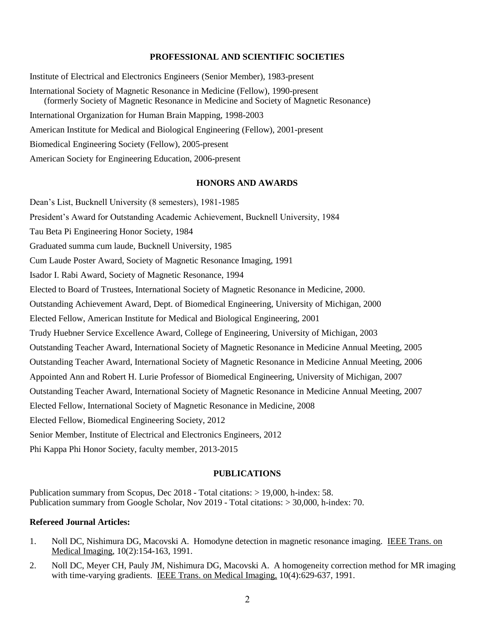#### **PROFESSIONAL AND SCIENTIFIC SOCIETIES**

Institute of Electrical and Electronics Engineers (Senior Member), 1983-present International Society of Magnetic Resonance in Medicine (Fellow), 1990-present (formerly Society of Magnetic Resonance in Medicine and Society of Magnetic Resonance) International Organization for Human Brain Mapping, 1998-2003 American Institute for Medical and Biological Engineering (Fellow), 2001-present Biomedical Engineering Society (Fellow), 2005-present American Society for Engineering Education, 2006-present

### **HONORS AND AWARDS**

Dean's List, Bucknell University (8 semesters), 1981-1985 President's Award for Outstanding Academic Achievement, Bucknell University, 1984 Tau Beta Pi Engineering Honor Society, 1984 Graduated summa cum laude, Bucknell University, 1985 Cum Laude Poster Award, Society of Magnetic Resonance Imaging, 1991 Isador I. Rabi Award, Society of Magnetic Resonance, 1994 Elected to Board of Trustees, International Society of Magnetic Resonance in Medicine, 2000. Outstanding Achievement Award, Dept. of Biomedical Engineering, University of Michigan, 2000 Elected Fellow, American Institute for Medical and Biological Engineering, 2001 Trudy Huebner Service Excellence Award, College of Engineering, University of Michigan, 2003 Outstanding Teacher Award, International Society of Magnetic Resonance in Medicine Annual Meeting, 2005 Outstanding Teacher Award, International Society of Magnetic Resonance in Medicine Annual Meeting, 2006 Appointed Ann and Robert H. Lurie Professor of Biomedical Engineering, University of Michigan, 2007 Outstanding Teacher Award, International Society of Magnetic Resonance in Medicine Annual Meeting, 2007 Elected Fellow, International Society of Magnetic Resonance in Medicine, 2008 Elected Fellow, Biomedical Engineering Society, 2012 Senior Member, Institute of Electrical and Electronics Engineers, 2012 Phi Kappa Phi Honor Society, faculty member, 2013-2015

#### **PUBLICATIONS**

Publication summary from Scopus, Dec 2018 - Total citations: > 19,000, h-index: 58. Publication summary from Google Scholar, Nov 2019 - Total citations: > 30,000, h-index: 70.

### **Refereed Journal Articles:**

- 1. Noll DC, Nishimura DG, Macovski A. Homodyne detection in magnetic resonance imaging. IEEE Trans. on Medical Imaging, 10(2):154-163, 1991.
- 2. Noll DC, Meyer CH, Pauly JM, Nishimura DG, Macovski A. A homogeneity correction method for MR imaging with time-varying gradients. IEEE Trans. on Medical Imaging, 10(4):629-637, 1991.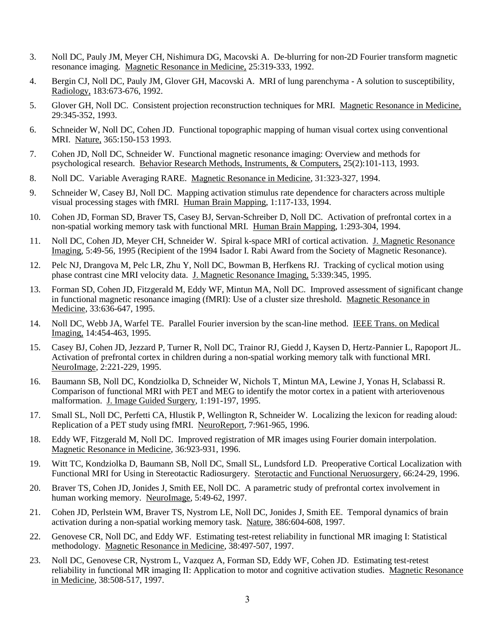- 3. Noll DC, Pauly JM, Meyer CH, Nishimura DG, Macovski A. De-blurring for non-2D Fourier transform magnetic resonance imaging. Magnetic Resonance in Medicine, 25:319-333, 1992.
- 4. Bergin CJ, Noll DC, Pauly JM, Glover GH, Macovski A. MRI of lung parenchyma A solution to susceptibility, Radiology, 183:673-676, 1992.
- 5. Glover GH, Noll DC. Consistent projection reconstruction techniques for MRI. Magnetic Resonance in Medicine, 29:345-352, 1993.
- 6. Schneider W, Noll DC, Cohen JD. Functional topographic mapping of human visual cortex using conventional MRI. Nature, 365:150-153 1993.
- 7. Cohen JD, Noll DC, Schneider W. Functional magnetic resonance imaging: Overview and methods for psychological research. Behavior Research Methods, Instruments, & Computers, 25(2):101-113, 1993.
- 8. Noll DC. Variable Averaging RARE. Magnetic Resonance in Medicine, 31:323-327, 1994.
- 9. Schneider W, Casey BJ, Noll DC. Mapping activation stimulus rate dependence for characters across multiple visual processing stages with fMRI. Human Brain Mapping, 1:117-133, 1994.
- 10. Cohen JD, Forman SD, Braver TS, Casey BJ, Servan-Schreiber D, Noll DC. Activation of prefrontal cortex in a non-spatial working memory task with functional MRI. Human Brain Mapping, 1:293-304, 1994.
- 11. Noll DC, Cohen JD, Meyer CH, Schneider W. Spiral k-space MRI of cortical activation. J. Magnetic Resonance Imaging, 5:49-56, 1995 (Recipient of the 1994 Isador I. Rabi Award from the Society of Magnetic Resonance).
- 12. Pelc NJ, Drangova M, Pelc LR, Zhu Y, Noll DC, Bowman B, Herfkens RJ. Tracking of cyclical motion using phase contrast cine MRI velocity data. J. Magnetic Resonance Imaging, 5:339:345, 1995.
- 13. Forman SD, Cohen JD, Fitzgerald M, Eddy WF, Mintun MA, Noll DC. Improved assessment of significant change in functional magnetic resonance imaging (fMRI): Use of a cluster size threshold. Magnetic Resonance in Medicine, 33:636-647, 1995.
- 14. Noll DC, Webb JA, Warfel TE. Parallel Fourier inversion by the scan-line method. IEEE Trans. on Medical Imaging, 14:454-463, 1995.
- 15. Casey BJ, Cohen JD, Jezzard P, Turner R, Noll DC, Trainor RJ, Giedd J, Kaysen D, Hertz-Pannier L, Rapoport JL. Activation of prefrontal cortex in children during a non-spatial working memory talk with functional MRI. NeuroImage, 2:221-229, 1995.
- 16. Baumann SB, Noll DC, Kondziolka D, Schneider W, Nichols T, Mintun MA, Lewine J, Yonas H, Sclabassi R. Comparison of functional MRI with PET and MEG to identify the motor cortex in a patient with arteriovenous malformation. J. Image Guided Surgery, 1:191-197, 1995.
- 17. Small SL, Noll DC, Perfetti CA, Hlustik P, Wellington R, Schneider W. Localizing the lexicon for reading aloud: Replication of a PET study using fMRI. NeuroReport, 7:961-965, 1996.
- 18. Eddy WF, Fitzgerald M, Noll DC. Improved registration of MR images using Fourier domain interpolation. Magnetic Resonance in Medicine, 36:923-931, 1996.
- 19. Witt TC, Kondziolka D, Baumann SB, Noll DC, Small SL, Lundsford LD. Preoperative Cortical Localization with Functional MRI for Using in Stereotactic Radiosurgery. Sterotactic and Functional Neruosurgery, 66:24-29, 1996.
- 20. Braver TS, Cohen JD, Jonides J, Smith EE, Noll DC. A parametric study of prefrontal cortex involvement in human working memory. NeuroImage, 5:49-62, 1997.
- 21. Cohen JD, Perlstein WM, Braver TS, Nystrom LE, Noll DC, Jonides J, Smith EE. Temporal dynamics of brain activation during a non-spatial working memory task. Nature, 386:604-608, 1997.
- 22. Genovese CR, Noll DC, and Eddy WF. Estimating test-retest reliability in functional MR imaging I: Statistical methodology. Magnetic Resonance in Medicine, 38:497-507, 1997.
- 23. Noll DC, Genovese CR, Nystrom L, Vazquez A, Forman SD, Eddy WF, Cohen JD. Estimating test-retest reliability in functional MR imaging II: Application to motor and cognitive activation studies. Magnetic Resonance in Medicine, 38:508-517, 1997.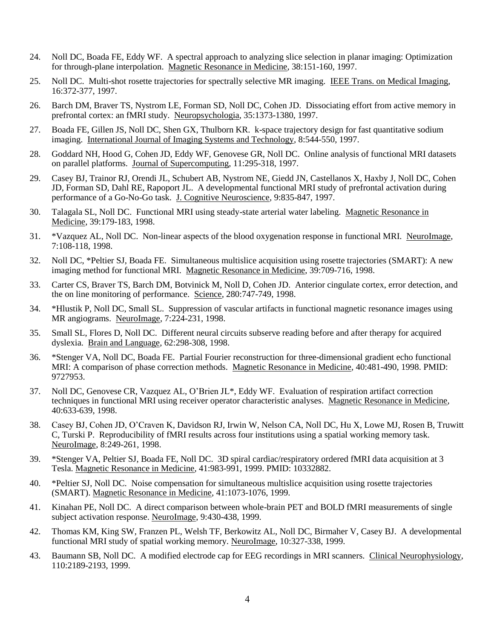- 24. Noll DC, Boada FE, Eddy WF. A spectral approach to analyzing slice selection in planar imaging: Optimization for through-plane interpolation. Magnetic Resonance in Medicine, 38:151-160, 1997.
- 25. Noll DC. Multi-shot rosette trajectories for spectrally selective MR imaging. IEEE Trans. on Medical Imaging, 16:372-377, 1997.
- 26. Barch DM, Braver TS, Nystrom LE, Forman SD, Noll DC, Cohen JD. Dissociating effort from active memory in prefrontal cortex: an fMRI study. Neuropsychologia, 35:1373-1380, 1997.
- 27. Boada FE, Gillen JS, Noll DC, Shen GX, Thulborn KR. k-space trajectory design for fast quantitative sodium imaging. International Journal of Imaging Systems and Technology, 8:544-550, 1997.
- 28. Goddard NH, Hood G, Cohen JD, Eddy WF, Genovese GR, Noll DC. Online analysis of functional MRI datasets on parallel platforms. Journal of Supercomputing, 11:295-318, 1997.
- 29. Casey BJ, Trainor RJ, Orendi JL, Schubert AB, Nystrom NE, Giedd JN, Castellanos X, Haxby J, Noll DC, Cohen JD, Forman SD, Dahl RE, Rapoport JL. A developmental functional MRI study of prefrontal activation during performance of a Go-No-Go task. J. Cognitive Neuroscience, 9:835-847, 1997.
- 30. Talagala SL, Noll DC. Functional MRI using steady-state arterial water labeling. Magnetic Resonance in Medicine, 39:179-183, 1998.
- 31. \*Vazquez AL, Noll DC. Non-linear aspects of the blood oxygenation response in functional MRI. NeuroImage, 7:108-118, 1998.
- 32. Noll DC, \*Peltier SJ, Boada FE. Simultaneous multislice acquisition using rosette trajectories (SMART): A new imaging method for functional MRI. Magnetic Resonance in Medicine, 39:709-716, 1998.
- 33. Carter CS, Braver TS, Barch DM, Botvinick M, Noll D, Cohen JD. Anterior cingulate cortex, error detection, and the on line monitoring of performance. Science, 280:747-749, 1998.
- 34. \*Hlustik P, Noll DC, Small SL. Suppression of vascular artifacts in functional magnetic resonance images using MR angiograms. NeuroImage, 7:224-231, 1998.
- 35. Small SL, Flores D, Noll DC. Different neural circuits subserve reading before and after therapy for acquired dyslexia. Brain and Language, 62:298-308, 1998.
- 36. \*Stenger VA, Noll DC, Boada FE. Partial Fourier reconstruction for three-dimensional gradient echo functional MRI: A comparison of phase correction methods. Magnetic Resonance in Medicine, 40:481-490, 1998. PMID: 9727953.
- 37. Noll DC, Genovese CR, Vazquez AL, O'Brien JL\*, Eddy WF. Evaluation of respiration artifact correction techniques in functional MRI using receiver operator characteristic analyses. Magnetic Resonance in Medicine, 40:633-639, 1998.
- 38. Casey BJ, Cohen JD, O'Craven K, Davidson RJ, Irwin W, Nelson CA, Noll DC, Hu X, Lowe MJ, Rosen B, Truwitt C, Turski P. Reproducibility of fMRI results across four institutions using a spatial working memory task. NeuroImage, 8:249-261, 1998.
- 39. \*Stenger VA, Peltier SJ, Boada FE, Noll DC. 3D spiral cardiac/respiratory ordered fMRI data acquisition at 3 Tesla. Magnetic Resonance in Medicine, 41:983-991, 1999. PMID: 10332882.
- 40. \*Peltier SJ, Noll DC. Noise compensation for simultaneous multislice acquisition using rosette trajectories (SMART). Magnetic Resonance in Medicine, 41:1073-1076, 1999.
- 41. Kinahan PE, Noll DC. A direct comparison between whole-brain PET and BOLD fMRI measurements of single subject activation response. NeuroImage, 9:430-438, 1999.
- 42. Thomas KM, King SW, Franzen PL, Welsh TF, Berkowitz AL, Noll DC, Birmaher V, Casey BJ. A developmental functional MRI study of spatial working memory. NeuroImage, 10:327-338, 1999.
- 43. Baumann SB, Noll DC. A modified electrode cap for EEG recordings in MRI scanners. Clinical Neurophysiology, 110:2189-2193, 1999.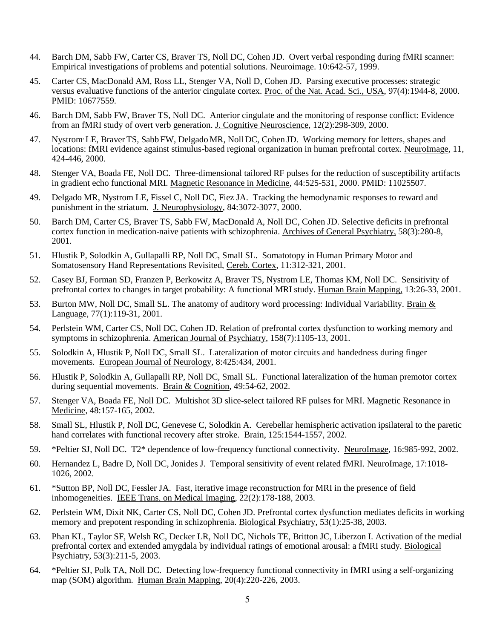- 44. Barch DM, Sabb FW, Carter CS, Braver TS, Noll DC, Cohen JD. Overt verbal responding during fMRI scanner: Empirical investigations of problems and potential solutions. Neuroimage. 10:642-57, 1999.
- 45. Carter CS, MacDonald AM, Ross LL, Stenger VA, Noll D, Cohen JD. Parsing executive processes: strategic versus evaluative functions of the anterior cingulate cortex. Proc. of the Nat. Acad. Sci., USA, 97(4):1944-8, 2000. PMID: 10677559.
- 46. Barch DM, Sabb FW, Braver TS, Noll DC. Anterior cingulate and the monitoring of response conflict: Evidence from an fMRI study of overt verb generation. J. Cognitive Neuroscience, 12(2):298-309, 2000.
- 47. Nystrom, LE, Braver TS, Sabb FW, Delgado MR, Noll DC, Cohen JD. Working memory for letters, shapes and locations: fMRI evidence against stimulus-based regional organization in human prefrontal cortex. NeuroImage, 11, 424-446, 2000.
- 48. Stenger VA, Boada FE, Noll DC. Three-dimensional tailored RF pulses for the reduction of susceptibility artifacts in gradient echo functional MRI. Magnetic Resonance in Medicine, 44:525-531, 2000. PMID: 11025507.
- 49. Delgado MR, Nystrom LE, Fissel C, Noll DC, Fiez JA. Tracking the hemodynamic responses to reward and punishment in the striatum. J. Neurophysiology, 84:3072-3077, 2000.
- 50. Barch DM, Carter CS, Braver TS, Sabb FW, MacDonald A, Noll DC, Cohen JD. Selective deficits in prefrontal cortex function in medication-naive patients with schizophrenia. Archives of General Psychiatry, 58(3):280-8, 2001.
- 51. Hlustik P, Solodkin A, Gullapalli RP, Noll DC, Small SL. Somatotopy in Human Primary Motor and Somatosensory Hand Representations Revisited, Cereb. Cortex, 11:312-321, 2001.
- 52. Casey BJ, Forman SD, Franzen P, Berkowitz A, Braver TS, Nystrom LE, Thomas KM, Noll DC. Sensitivity of prefrontal cortex to changes in target probability: A functional MRI study. Human Brain Mapping, 13:26-33, 2001.
- 53. Burton MW, Noll DC, Small SL. The anatomy of auditory word processing: Individual Variability. Brain & Language, 77(1):119-31, 2001.
- 54. Perlstein WM, Carter CS, Noll DC, Cohen JD. Relation of prefrontal cortex dysfunction to working memory and symptoms in schizophrenia. American Journal of Psychiatry, 158(7):1105-13, 2001.
- 55. Solodkin A, Hlustik P, Noll DC, Small SL. Lateralization of motor circuits and handedness during finger movements. European Journal of Neurology, 8:425:434, 2001.
- 56. Hlustik P, Solodkin A, Gullapalli RP, Noll DC, Small SL. Functional lateralization of the human premotor cortex during sequential movements. Brain & Cognition, 49:54-62, 2002.
- 57. Stenger VA, Boada FE, Noll DC. Multishot 3D slice-select tailored RF pulses for MRI. Magnetic Resonance in Medicine, 48:157-165, 2002.
- 58. Small SL, Hlustik P, Noll DC, Genevese C, Solodkin A. Cerebellar hemispheric activation ipsilateral to the paretic hand correlates with functional recovery after stroke. Brain, 125:1544-1557, 2002.
- 59. \*Peltier SJ, Noll DC. T2\* dependence of low-frequency functional connectivity. NeuroImage, 16:985-992, 2002.
- 60. Hernandez L, Badre D, Noll DC, Jonides J. Temporal sensitivity of event related fMRI. NeuroImage, 17:1018- 1026, 2002.
- 61. \*Sutton BP, Noll DC, Fessler JA. Fast, iterative image reconstruction for MRI in the presence of field inhomogeneities. IEEE Trans. on Medical Imaging, 22(2):178-188, 2003.
- 62. Perlstein WM, Dixit NK, Carter CS, Noll DC, Cohen JD. Prefrontal cortex dysfunction mediates deficits in working memory and prepotent responding in schizophrenia. Biological Psychiatry, 53(1):25-38, 2003.
- 63. Phan KL, Taylor SF, Welsh RC, Decker LR, Noll DC, Nichols TE, Britton JC, Liberzon I. Activation of the medial prefrontal cortex and extended amygdala by individual ratings of emotional arousal: a fMRI study. Biological Psychiatry, 53(3):211-5, 2003.
- 64. \*Peltier SJ, Polk TA, Noll DC. Detecting low-frequency functional connectivity in fMRI using a self-organizing map (SOM) algorithm. Human Brain Mapping, 20(4):220-226, 2003.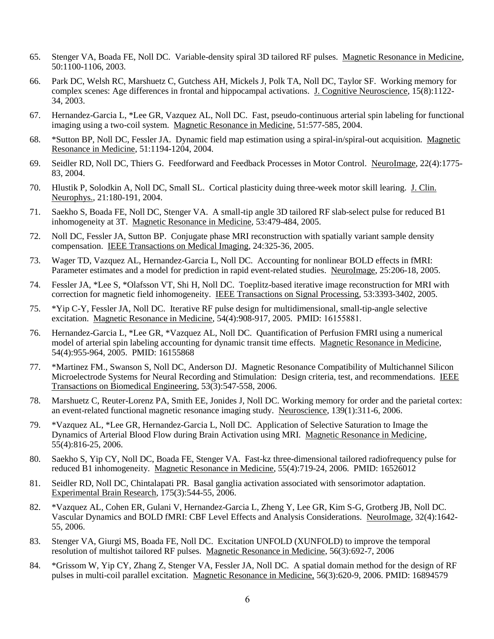- 65. Stenger VA, Boada FE, Noll DC. Variable-density spiral 3D tailored RF pulses. Magnetic Resonance in Medicine, 50:1100-1106, 2003.
- 66. Park DC, Welsh RC, Marshuetz C, Gutchess AH, Mickels J, Polk TA, Noll DC, Taylor SF. Working memory for complex scenes: Age differences in frontal and hippocampal activations. J. Cognitive Neuroscience, 15(8):1122- 34, 2003.
- 67. Hernandez-Garcia L, \*Lee GR, Vazquez AL, Noll DC. Fast, pseudo-continuous arterial spin labeling for functional imaging using a two-coil system. Magnetic Resonance in Medicine, 51:577-585, 2004.
- 68. \*Sutton BP, Noll DC, Fessler JA. Dynamic field map estimation using a spiral-in/spiral-out acquisition. Magnetic Resonance in Medicine, 51:1194-1204, 2004.
- 69. Seidler RD, Noll DC, Thiers G. Feedforward and Feedback Processes in Motor Control. NeuroImage, 22(4):1775- 83, 2004.
- 70. Hlustik P, Solodkin A, Noll DC, Small SL. Cortical plasticity duing three-week motor skill learing. J. Clin. Neurophys., 21:180-191, 2004.
- 71. Saekho S, Boada FE, Noll DC, Stenger VA. A small-tip angle 3D tailored RF slab-select pulse for reduced B1 inhomogeneity at 3T. Magnetic Resonance in Medicine, 53:479-484, 2005.
- 72. Noll DC, Fessler JA, Sutton BP. Conjugate phase MRI reconstruction with spatially variant sample density compensation. IEEE Transactions on Medical Imaging, 24:325-36, 2005.
- 73. Wager TD, Vazquez AL, Hernandez-Garcia L, Noll DC. Accounting for nonlinear BOLD effects in fMRI: Parameter estimates and a model for prediction in rapid event-related studies. NeuroImage, 25:206-18, 2005.
- 74. Fessler JA, \*Lee S, \*Olafsson VT, Shi H, Noll DC. Toeplitz-based iterative image reconstruction for MRI with correction for magnetic field inhomogeneity. IEEE Transactions on Signal Processing, 53:3393-3402, 2005.
- 75. \*Yip C-Y, Fessler JA, Noll DC. Iterative RF pulse design for multidimensional, small-tip-angle selective excitation. Magnetic Resonance in Medicine, 54(4):908-917, 2005. PMID: 16155881.
- 76. Hernandez-Garcia L, \*Lee GR, \*Vazquez AL, Noll DC. Quantification of Perfusion FMRI using a numerical model of arterial spin labeling accounting for dynamic transit time effects. Magnetic Resonance in Medicine, 54(4):955-964, 2005. PMID: 16155868
- 77. \*Martinez FM., Swanson S, Noll DC, Anderson DJ. Magnetic Resonance Compatibility of Multichannel Silicon Microelectrode Systems for Neural Recording and Stimulation: Design criteria, test, and recommendations. IEEE Transactions on Biomedical Engineering, 53(3):547-558, 2006.
- 78. Marshuetz C, Reuter-Lorenz PA, Smith EE, Jonides J, Noll DC. Working memory for order and the parietal cortex: an event-related functional magnetic resonance imaging study. Neuroscience, 139(1):311-6, 2006.
- 79. \*Vazquez AL, \*Lee GR, Hernandez-Garcia L, Noll DC. Application of Selective Saturation to Image the Dynamics of Arterial Blood Flow during Brain Activation using MRI. Magnetic Resonance in Medicine, 55(4):816-25, 2006.
- 80. Saekho S, Yip CY, Noll DC, Boada FE, Stenger VA. Fast-kz three-dimensional tailored radiofrequency pulse for reduced B1 inhomogeneity. Magnetic Resonance in Medicine, 55(4):719-24, 2006. PMID: 16526012
- 81. Seidler RD, Noll DC, Chintalapati PR. Basal ganglia activation associated with sensorimotor adaptation. Experimental Brain Research, 175(3):544-55, 2006.
- 82. \*Vazquez AL, Cohen ER, Gulani V, Hernandez-Garcia L, Zheng Y, Lee GR, Kim S-G, Grotberg JB, Noll DC. Vascular Dynamics and BOLD fMRI: CBF Level Effects and Analysis Considerations. NeuroImage, 32(4):1642- 55, 2006.
- 83. Stenger VA, Giurgi MS, Boada FE, Noll DC. Excitation UNFOLD (XUNFOLD) to improve the temporal resolution of multishot tailored RF pulses. Magnetic Resonance in Medicine, 56(3):692-7, 2006
- 84. \*Grissom W, Yip CY, Zhang Z, Stenger VA, Fessler JA, Noll DC. A spatial domain method for the design of RF pulses in multi-coil parallel excitation. Magnetic Resonance in Medicine, 56(3):620-9, 2006. PMID: 16894579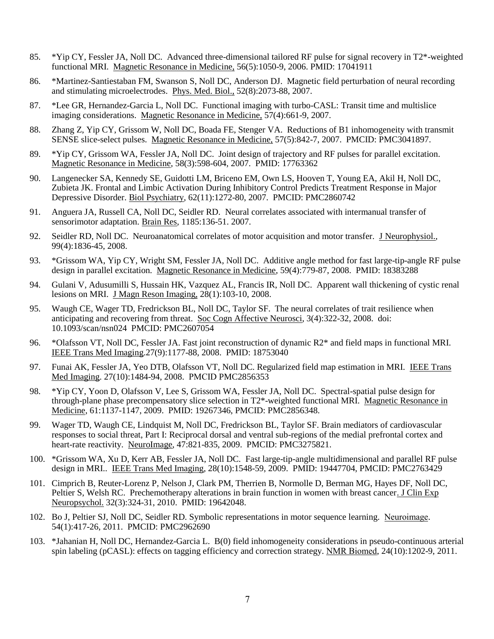- 85. \*Yip CY, Fessler JA, Noll DC. Advanced three-dimensional tailored RF pulse for signal recovery in T2\*-weighted functional MRI. Magnetic Resonance in Medicine, 56(5):1050-9, 2006. PMID: 17041911
- 86. \*Martinez-Santiestaban FM, Swanson S, Noll DC, Anderson DJ. Magnetic field perturbation of neural recording and stimulating microelectrodes. Phys. Med. Biol., 52(8):2073-88, 2007.
- 87. \*Lee GR, Hernandez-Garcia L, Noll DC. Functional imaging with turbo-CASL: Transit time and multislice imaging considerations. Magnetic Resonance in Medicine, 57(4):661-9, 2007.
- 88. Zhang Z, Yip CY, Grissom W, Noll DC, Boada FE, Stenger VA. Reductions of B1 inhomogeneity with transmit SENSE slice-select pulses. Magnetic Resonance in Medicine, 57(5):842-7, 2007. PMCID: PMC3041897.
- 89. \*Yip CY, Grissom WA, Fessler JA, Noll DC. Joint design of trajectory and RF pulses for parallel excitation. Magnetic Resonance in Medicine, 58(3):598-604, 2007. PMID: 17763362
- 90. Langenecker SA, Kennedy SE, Guidotti LM, Briceno EM, Own LS, Hooven T, Young EA, Akil H, Noll DC, Zubieta JK. Frontal and Limbic Activation During Inhibitory Control Predicts Treatment Response in Major Depressive Disorder. Biol Psychiatry, 62(11):1272-80, 2007. PMCID: PMC2860742
- 91. Anguera JA, Russell CA, Noll DC, Seidler RD. Neural correlates associated with intermanual transfer of sensorimotor adaptation. Brain Res, 1185:136-51. 2007.
- 92. Seidler RD, Noll DC. Neuroanatomical correlates of motor acquisition and motor transfer. J Neurophysiol., 99(4):1836-45, 2008.
- 93. [\\*Grissom WA,](http://www.ncbi.nlm.nih.gov/sites/entrez?Db=pubmed&Cmd=Search&Term=%22Grissom%20WA%22%5BAuthor%5D&itool=EntrezSystem2.PEntrez.Pubmed.Pubmed_ResultsPanel.Pubmed_DiscoveryPanel.Pubmed_RVAbstractPlus) [Yip CY,](http://www.ncbi.nlm.nih.gov/sites/entrez?Db=pubmed&Cmd=Search&Term=%22Yip%20CY%22%5BAuthor%5D&itool=EntrezSystem2.PEntrez.Pubmed.Pubmed_ResultsPanel.Pubmed_DiscoveryPanel.Pubmed_RVAbstractPlus) [Wright SM,](http://www.ncbi.nlm.nih.gov/sites/entrez?Db=pubmed&Cmd=Search&Term=%22Wright%20SM%22%5BAuthor%5D&itool=EntrezSystem2.PEntrez.Pubmed.Pubmed_ResultsPanel.Pubmed_DiscoveryPanel.Pubmed_RVAbstractPlus) [Fessler JA,](http://www.ncbi.nlm.nih.gov/sites/entrez?Db=pubmed&Cmd=Search&Term=%22Fessler%20JA%22%5BAuthor%5D&itool=EntrezSystem2.PEntrez.Pubmed.Pubmed_ResultsPanel.Pubmed_DiscoveryPanel.Pubmed_RVAbstractPlus) [Noll DC.](http://www.ncbi.nlm.nih.gov/sites/entrez?Db=pubmed&Cmd=Search&Term=%22Noll%20DC%22%5BAuthor%5D&itool=EntrezSystem2.PEntrez.Pubmed.Pubmed_ResultsPanel.Pubmed_DiscoveryPanel.Pubmed_RVAbstractPlus) Additive angle method for fast large-tip-angle RF pulse design in parallel excitation. Magnetic Resonance in Medicine, 59(4):779-87, 2008. PMID: 18383288
- 94. [Gulani V, Adusumilli S, Hussain HK, Vazquez AL, Francis IR, Noll DC.](http://www.ncbi.nlm.nih.gov/pubmed/18581399?ordinalpos=1&itool=EntrezSystem2.PEntrez.Pubmed.Pubmed_ResultsPanel.Pubmed_RVDocSum) Apparent wall thickening of cystic renal lesions on MRI. J Magn Reson Imaging, 28(1):103-10, 2008.
- 95. Waugh CE, Wager TD, Fredrickson BL, Noll DC, Taylor SF. The neural correlates of trait resilience when anticipating and recovering from threat. Soc Cogn Affective Neurosci, 3(4):322-32, 2008. doi: 10.1093/scan/nsn024 PMCID: PMC2607054
- 96. \*Olafsson VT, Noll DC, Fessler JA. Fast joint reconstruction of dynamic R2\* and field maps in functional MRI. IEEE Trans Med Imaging.27(9):1177-88, 2008. PMID: 18753040
- 97. Funai AK, Fessler JA, Yeo DTB, Olafsson VT, Noll DC. Regularized field map estimation in MRI. IEEE Trans Med Imaging. 27(10):1484-94, 2008. PMCID PMC2856353
- 98. \*Yip CY, Yoon D, Olafsson V, Lee S, Grissom WA, Fessler JA, Noll DC. Spectral-spatial pulse design for through-plane phase precompensatory slice selection in T2\*-weighted functional MRI. Magnetic Resonance in Medicine, 61:1137-1147, 2009. PMID: 19267346, PMCID: PMC2856348.
- 99. Wager TD, Waugh CE, Lindquist M, Noll DC, Fredrickson BL, Taylor SF. Brain mediators of cardiovascular responses to social threat, Part I: Reciprocal dorsal and ventral sub-regions of the medial prefrontal cortex and heart-rate reactivity. NeuroImage, 47:821-835, 2009. PMCID: PMC3275821.
- 100. \*Grissom WA, Xu D, Kerr AB, Fessler JA, Noll DC. [Fast large-tip-angle multidimensional and parallel RF pulse](http://www.ncbi.nlm.nih.gov/pubmed/19447704?ordinalpos=3&itool=EntrezSystem2.PEntrez.Pubmed.Pubmed_ResultsPanel.Pubmed_DefaultReportPanel.Pubmed_RVDocSum)  [design in MRI..](http://www.ncbi.nlm.nih.gov/pubmed/19447704?ordinalpos=3&itool=EntrezSystem2.PEntrez.Pubmed.Pubmed_ResultsPanel.Pubmed_DefaultReportPanel.Pubmed_RVDocSum) IEEE Trans Med Imaging, 28(10):1548-59, 2009. PMID: 19447704, PMCID: PMC2763429
- 101. Cimprich B, Reuter-Lorenz P, Nelson J, Clark PM, Therrien B, Normolle D, Berman MG, Hayes DF, Noll DC, Peltier S, Welsh RC. Prechemotherapy alterations in brain function in women with breast cancer. J Clin Exp Neuropsychol. 32(3):324-31, 2010. PMID: 19642048.
- 102. Bo J, Peltier SJ, Noll DC, Seidler RD. Symbolic representations in motor sequence learning. Neuroimage. 54(1):417-26, 2011. PMCID: PMC2962690
- 103. \*Jahanian H, Noll DC, Hernandez-Garcia L. B(0) field inhomogeneity considerations in pseudo-continuous arterial spin labeling (pCASL): effects on tagging efficiency and correction strategy. NMR Biomed, 24(10):1202-9, 2011.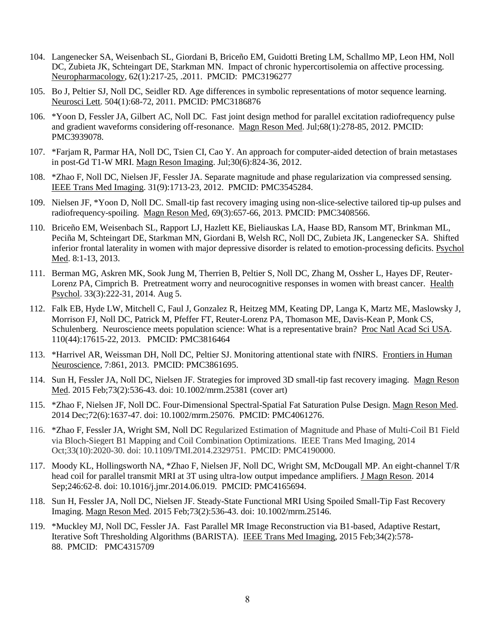- 104. Langenecker SA, Weisenbach SL, Giordani B, Briceño EM, Guidotti Breting LM, Schallmo MP, Leon HM, Noll DC, Zubieta JK, Schteingart DE, Starkman MN. Impact of chronic hypercortisolemia on affective processing. Neuropharmacology, 62(1):217-25, .2011. PMCID: PMC3196277
- 105. Bo J, Peltier SJ, Noll DC, Seidler RD. Age differences in symbolic representations of motor sequence learning. Neurosci Lett. 504(1):68-72, 2011. PMCID: PMC3186876
- 106. \*Yoon D, Fessler JA, Gilbert AC, Noll DC. Fast joint design method for parallel excitation radiofrequency pulse and gradient waveforms considering off-resonance. Magn Reson Med. Jul;68(1):278-85, 2012. PMCID: PMC3939078.
- 107. \*Farjam R, Parmar HA, Noll DC, Tsien CI, Cao Y. An approach for computer-aided detection of brain metastases in post-Gd T1-W MRI. Magn Reson Imaging. Jul;30(6):824-36, 2012.
- 108. \*Zhao F, Noll DC, Nielsen JF, Fessler JA. Separate magnitude and phase regularization via compressed sensing. IEEE Trans Med Imaging. 31(9):1713-23, 2012. PMCID: PMC3545284.
- 109. Nielsen JF, \*Yoon D, Noll DC. Small-tip fast recovery imaging using non-slice-selective tailored tip-up pulses and radiofrequency-spoiling. Magn Reson Med, 69(3):657-66, 2013. PMCID: PMC3408566.
- 110. Briceño EM, Weisenbach SL, Rapport LJ, Hazlett KE, Bieliauskas LA, Haase BD, Ransom MT, Brinkman ML, Peciña M, Schteingart DE, Starkman MN, Giordani B, Welsh RC, Noll DC, Zubieta JK, Langenecker SA. Shifted inferior frontal laterality in women with major depressive disorder is related to emotion-processing deficits. Psychol Med. 8:1-13, 2013.
- 111. Berman MG, Askren MK, Sook Jung M, Therrien B, Peltier S, Noll DC, Zhang M, Ossher L, Hayes DF, Reuter-Lorenz PA, Cimprich B. Pretreatment worry and neurocognitive responses in women with breast cancer. Health Psychol. 33(3):222-31, 2014. Aug 5.
- 112. Falk EB, Hyde LW, Mitchell C, Faul J, Gonzalez R, Heitzeg MM, Keating DP, Langa K, Martz ME, Maslowsky J, Morrison FJ, Noll DC, Patrick M, Pfeffer FT, Reuter-Lorenz PA, Thomason ME, Davis-Kean P, Monk CS, Schulenberg. Neuroscience meets population science: What is a representative brain? Proc Natl Acad Sci USA. 110(44):17615-22, 2013. PMCID: PMC3816464
- 113. \*Harrivel AR, Weissman DH, Noll DC, Peltier SJ. Monitoring attentional state with fNIRS. Frontiers in Human Neuroscience, 7:861, 2013. PMCID: PMC3861695.
- 114. Sun H, Fessler JA, Noll DC, Nielsen JF. Strategies for improved 3D small-tip fast recovery imaging. Magn Reson Med. 2015 Feb;73(2):536-43. doi: 10.1002/mrm.25381 (cover art)
- 115. \*Zhao F, Nielsen JF, Noll DC. Four-Dimensional Spectral-Spatial Fat Saturation Pulse Design. Magn Reson Med. 2014 Dec;72(6):1637-47. doi: 10.1002/mrm.25076. PMCID: PMC4061276.
- 116. \*Zhao F, Fessler JA, Wright SM, Noll DC Regularized Estimation of Magnitude and Phase of Multi-Coil B1 Field via Bloch-Siegert B1 Mapping and Coil Combination Optimizations. IEEE Trans Med Imaging, 2014 Oct;33(10):2020-30. doi: 10.1109/TMI.2014.2329751. PMCID: PMC4190000.
- 117. Moody KL, Hollingsworth NA, \*Zhao F, Nielsen JF, Noll DC, Wright SM, McDougall MP. An eight-channel T/R head coil for parallel transmit MRI at 3T using ultra-low output impedance amplifiers. J Magn Reson. 2014 Sep;246:62-8. doi: 10.1016/j.jmr.2014.06.019. PMCID: PMC4165694.
- 118. Sun H, Fessler JA, Noll DC, Nielsen JF. Steady-State Functional MRI Using Spoiled Small-Tip Fast Recovery Imaging. Magn Reson Med. 2015 Feb;73(2):536-43. doi: 10.1002/mrm.25146.
- 119. \*Muckley MJ, Noll DC, Fessler JA. Fast Parallel MR Image Reconstruction via B1-based, Adaptive Restart, Iterative Soft Thresholding Algorithms (BARISTA). IEEE Trans Med Imaging, 2015 Feb;34(2):578- 88. PMCID: PMC4315709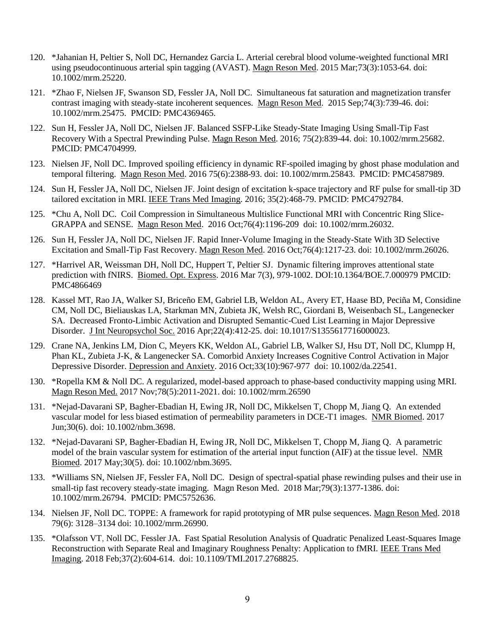- 120. \*Jahanian H, Peltier S, Noll DC, Hernandez Garcia L. Arterial cerebral blood volume-weighted functional MRI using pseudocontinuous arterial spin tagging (AVAST). Magn Reson Med. 2015 Mar;73(3):1053-64. doi: 10.1002/mrm.25220.
- 121. \*Zhao F, Nielsen JF, Swanson SD, Fessler JA, Noll DC. Simultaneous fat saturation and magnetization transfer contrast imaging with steady-state incoherent sequences. [Magn Reson Med.](http://www.ncbi.nlm.nih.gov/pubmed/25252173) 2015 Sep;74(3):739-46. doi: 10.1002/mrm.25475. PMCID: PMC4369465.
- 122. Sun H, Fessler JA, Noll DC, Nielsen JF. Balanced SSFP-Like Steady-State Imaging Using Small-Tip Fast Recovery With a Spectral Prewinding Pulse. Magn Reson Med. 2016; 75(2):839-44. doi: 10.1002/mrm.25682. PMCID: PMC4704999.
- 123. Nielsen JF, Noll DC. Improved spoiling efficiency in dynamic RF-spoiled imaging by ghost phase modulation and temporal filtering. Magn Reson Med. 2016 75(6):2388-93. doi: 10.1002/mrm.25843. PMCID: PMC4587989.
- 124. Sun H, Fessler JA, Noll DC, Nielsen JF. Joint design of excitation k-space trajectory and RF pulse for small-tip 3D tailored excitation in MRI. IEEE Trans Med Imaging. 2016; 35(2):468-79. PMCID: PMC4792784.
- 125. \*Chu A, Noll DC. Coil Compression in Simultaneous Multislice Functional MRI with Concentric Ring Slice-GRAPPA and SENSE. Magn Reson Med. 2016 Oct;76(4):1196-209 doi: 10.1002/mrm.26032.
- 126. Sun H, Fessler JA, Noll DC, Nielsen JF. Rapid Inner-Volume Imaging in the Steady-State With 3D Selective Excitation and Small-Tip Fast Recovery. Magn Reson Med. 2016 Oct;76(4):1217-23. doi: 10.1002/mrm.26026.
- 127. \*Harrivel AR, Weissman DH, Noll DC, Huppert T, Peltier SJ. Dynamic filtering improves attentional state prediction with fNIRS. Biomed. Opt. Express. 2016 Mar 7(3), 979-1002. DOI:10.1364/BOE.7.000979 PMCID: PMC4866469
- 128. Kassel MT, Rao JA, Walker SJ, Briceño EM, Gabriel LB, Weldon AL, Avery ET, Haase BD, Peciña M, Considine CM, Noll DC, Bieliauskas LA, Starkman MN, Zubieta JK, Welsh RC, Giordani B, Weisenbach SL, Langenecker SA. Decreased Fronto-Limbic Activation and Disrupted Semantic-Cued List Learning in Major Depressive Disorder. J Int Neuropsychol Soc. 2016 Apr;22(4):412-25. doi: 10.1017/S1355617716000023.
- 129. Crane NA, Jenkins LM, Dion C, Meyers KK, Weldon AL, Gabriel LB, Walker SJ, Hsu DT, Noll DC, Klumpp H, Phan KL, Zubieta J-K, & Langenecker SA. Comorbid Anxiety Increases Cognitive Control Activation in Major Depressive Disorder. Depression and Anxiety. 2016 Oct;33(10):967-977 doi: 10.1002/da.22541.
- 130. \*Ropella KM & Noll DC. A regularized, model-based approach to phase-based conductivity mapping using MRI. Magn Reson Med. 2017 Nov;78(5):2011-2021. doi: 10.1002/mrm.26590
- 131. \*Nejad-Davarani SP, Bagher-Ebadian H, Ewing JR, Noll DC, Mikkelsen T, Chopp M, Jiang Q. An extended vascular model for less biased estimation of permeability parameters in DCE-T1 images. NMR Biomed. 2017 Jun;30(6). doi: 10.1002/nbm.3698.
- 132. \*Nejad-Davarani SP, Bagher-Ebadian H, Ewing JR, Noll DC, Mikkelsen T, Chopp M, Jiang Q. A parametric model of the brain vascular system for estimation of the arterial input function (AIF) at the tissue level. NMR Biomed. 2017 May;30(5). doi: 10.1002/nbm.3695.
- 133. \*Williams SN, Nielsen JF, Fessler FA, Noll DC. Design of spectral-spatial phase rewinding pulses and their use in small-tip fast recovery steady-state imaging. Magn Reson Med. 2018 Mar;79(3):1377-1386. doi: 10.1002/mrm.26794. PMCID: PMC5752636.
- 134. Nielsen JF, Noll DC. TOPPE: A framework for rapid prototyping of MR pulse sequences. Magn Reson Med. 2018 79(6): 3128–3134 doi: 10.1002/mrm.26990.
- 135. \*Olafsson VT, Noll DC, Fessler JA. Fast Spatial Resolution Analysis of Quadratic Penalized Least-Squares Image Reconstruction with Separate Real and Imaginary Roughness Penalty: Application to fMRI. IEEE Trans Med Imaging. 2018 Feb;37(2):604-614. doi: 10.1109/TMI.2017.2768825.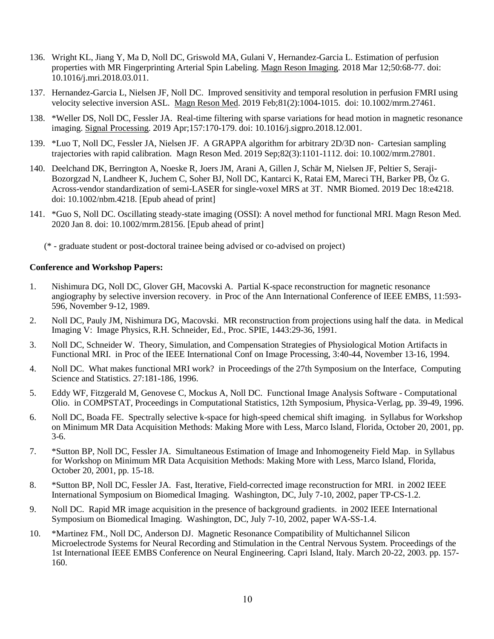- 136. Wright KL, Jiang Y, Ma D, Noll DC, Griswold MA, Gulani V, Hernandez-Garcia L. Estimation of perfusion properties with MR Fingerprinting Arterial Spin Labeling. Magn Reson Imaging. 2018 Mar 12;50:68-77. doi: 10.1016/j.mri.2018.03.011.
- 137. Hernandez-Garcia L, Nielsen JF, Noll DC. Improved sensitivity and temporal resolution in perfusion FMRI using velocity selective inversion ASL. Magn Reson Med. 2019 Feb;81(2):1004-1015. doi: 10.1002/mrm.27461.
- 138. \*Weller DS, Noll DC, Fessler JA. Real-time filtering with sparse variations for head motion in magnetic resonance imaging. Signal Processing. 2019 Apr;157:170-179. doi: 10.1016/j.sigpro.2018.12.001.
- 139. \*Luo T, Noll DC, Fessler JA, Nielsen JF. A GRAPPA algorithm for arbitrary 2D/3D non‐ Cartesian sampling trajectories with rapid calibration. Magn Reson Med. 2019 Sep;82(3):1101-1112. doi: 10.1002/mrm.27801.
- 140. Deelchand DK, Berrington A, Noeske R, Joers JM, Arani A, Gillen J, Schär M, Nielsen JF, Peltier S, Seraji-Bozorgzad N, Landheer K, Juchem C, Soher BJ, Noll DC, Kantarci K, Ratai EM, Mareci TH, Barker PB, Öz G. Across-vendor standardization of [semi-LASER for single-voxel MRS at 3T.](https://www.ncbi.nlm.nih.gov/pubmed/31854045) NMR Biomed. 2019 Dec 18:e4218. doi: 10.1002/nbm.4218. [Epub ahead of print]
- 141. \*Guo S, Noll DC. Oscillating steady-state imaging (OSSI): A novel method for functional MRI. Magn Reson Med. 2020 Jan 8. doi: 10.1002/mrm.28156. [Epub ahead of print]
	- (\* graduate student or post-doctoral trainee being advised or co-advised on project)

## **Conference and Workshop Papers:**

- 1. Nishimura DG, Noll DC, Glover GH, Macovski A. Partial K-space reconstruction for magnetic resonance angiography by selective inversion recovery. in Proc of the Ann International Conference of IEEE EMBS, 11:593- 596, November 9-12, 1989.
- 2. Noll DC, Pauly JM, Nishimura DG, Macovski. MR reconstruction from projections using half the data. in Medical Imaging V: Image Physics, R.H. Schneider, Ed., Proc. SPIE, 1443:29-36, 1991.
- 3. Noll DC, Schneider W. Theory, Simulation, and Compensation Strategies of Physiological Motion Artifacts in Functional MRI. in Proc of the IEEE International Conf on Image Processing, 3:40-44, November 13-16, 1994.
- 4. Noll DC. What makes functional MRI work? in Proceedings of the 27th Symposium on the Interface, Computing Science and Statistics. 27:181-186, 1996.
- 5. Eddy WF, Fitzgerald M, Genovese C, Mockus A, Noll DC. Functional Image Analysis Software Computational Olio. in COMPSTAT, Proceedings in Computational Statistics, 12th Symposium, Physica-Verlag, pp. 39-49, 1996.
- 6. Noll DC, Boada FE. Spectrally selective k-space for high-speed chemical shift imaging. in Syllabus for Workshop on Minimum MR Data Acquisition Methods: Making More with Less, Marco Island, Florida, October 20, 2001, pp. 3-6.
- 7. \*Sutton BP, Noll DC, Fessler JA. Simultaneous Estimation of Image and Inhomogeneity Field Map. in Syllabus for Workshop on Minimum MR Data Acquisition Methods: Making More with Less, Marco Island, Florida, October 20, 2001, pp. 15-18.
- 8. \*Sutton BP, Noll DC, Fessler JA. Fast, Iterative, Field-corrected image reconstruction for MRI. in 2002 IEEE International Symposium on Biomedical Imaging. Washington, DC, July 7-10, 2002, paper TP-CS-1.2.
- 9. Noll DC. Rapid MR image acquisition in the presence of background gradients. in 2002 IEEE International Symposium on Biomedical Imaging. Washington, DC, July 7-10, 2002, paper WA-SS-1.4.
- 10. \*Martinez FM., Noll DC, Anderson DJ. Magnetic Resonance Compatibility of Multichannel Silicon Microelectrode Systems for Neural Recording and Stimulation in the Central Nervous System. Proceedings of the 1st International IEEE EMBS Conference on Neural Engineering. Capri Island, Italy. March 20-22, 2003. pp. 157- 160.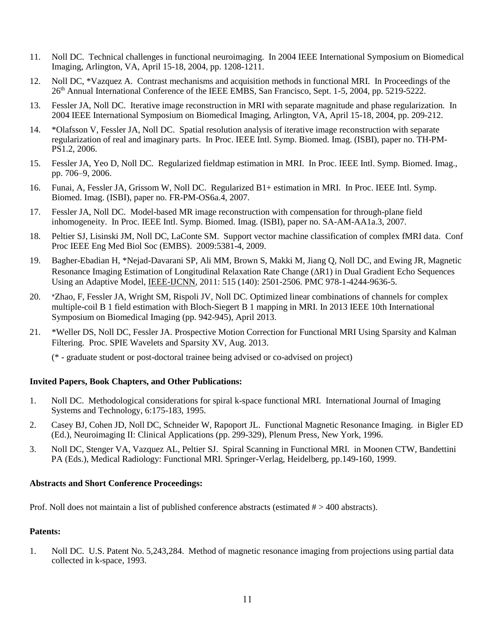- 11. Noll DC. Technical challenges in functional neuroimaging. In 2004 IEEE International Symposium on Biomedical Imaging, Arlington, VA, April 15-18, 2004, pp. 1208-1211.
- 12. Noll DC, \*Vazquez A. Contrast mechanisms and acquisition methods in functional MRI. In Proceedings of the 26th Annual International Conference of the IEEE EMBS, San Francisco, Sept. 1-5, 2004, pp. 5219-5222.
- 13. Fessler JA, Noll DC. Iterative image reconstruction in MRI with separate magnitude and phase regularization. In 2004 IEEE International Symposium on Biomedical Imaging, Arlington, VA, April 15-18, 2004, pp. 209-212.
- 14. \*Olafsson V, Fessler JA, Noll DC. Spatial resolution analysis of iterative image reconstruction with separate regularization of real and imaginary parts. In Proc. IEEE Intl. Symp. Biomed. Imag. (ISBI), paper no. TH-PM-PS1.2, 2006.
- 15. Fessler JA, Yeo D, Noll DC. Regularized fieldmap estimation in MRI. In Proc. IEEE Intl. Symp. Biomed. Imag., pp. 706–9, 2006.
- 16. Funai, A, Fessler JA, Grissom W, Noll DC. Regularized B1+ estimation in MRI. In Proc. IEEE Intl. Symp. Biomed. Imag. (ISBI), paper no. FR-PM-OS6a.4, 2007.
- 17. Fessler JA, Noll DC. Model-based MR image reconstruction with compensation for through-plane field inhomogeneity. In Proc. IEEE Intl. Symp. Biomed. Imag. (ISBI), paper no. SA-AM-AA1a.3, 2007.
- 18. Peltier SJ, Lisinski JM, Noll DC, LaConte SM. Support vector machine classification of complex fMRI data. Conf Proc IEEE Eng Med Biol Soc (EMBS). 2009:5381-4, 2009.
- 19. Bagher-Ebadian H, \*Nejad-Davarani SP, Ali MM, Brown S, Makki M, Jiang Q, Noll DC, and Ewing JR, Magnetic Resonance Imaging Estimation of Longitudinal Relaxation Rate Change  $(AR1)$  in Dual Gradient Echo Sequences Using an Adaptive Model, IEEE-IJCNN, 2011: 515 (140): 2501-2506. PMC 978-1-4244-9636-5.
- 20. \*Zhao, F, Fessler JA, Wright SM, Rispoli JV, Noll DC. Optimized linear combinations of channels for complex multiple-coil B 1 field estimation with Bloch-Siegert B 1 mapping in MRI. In 2013 IEEE 10th International Symposium on Biomedical Imaging (pp. 942-945), April 2013.
- 21. \*Weller DS, Noll DC, Fessler JA. Prospective Motion Correction for Functional MRI Using Sparsity and Kalman Filtering. Proc. SPIE Wavelets and Sparsity XV, Aug. 2013.

(\* - graduate student or post-doctoral trainee being advised or co-advised on project)

## **Invited Papers, Book Chapters, and Other Publications:**

- 1. Noll DC. Methodological considerations for spiral k-space functional MRI. International Journal of Imaging Systems and Technology, 6:175-183, 1995.
- 2. Casey BJ, Cohen JD, Noll DC, Schneider W, Rapoport JL. Functional Magnetic Resonance Imaging. in Bigler ED (Ed.), Neuroimaging II: Clinical Applications (pp. 299-329), Plenum Press, New York, 1996.
- 3. Noll DC, Stenger VA, Vazquez AL, Peltier SJ. Spiral Scanning in Functional MRI. in Moonen CTW, Bandettini PA (Eds.), Medical Radiology: Functional MRI. Springer-Verlag, Heidelberg, pp.149-160, 1999.

### **Abstracts and Short Conference Proceedings:**

Prof. Noll does not maintain a list of published conference abstracts (estimated  $# > 400$  abstracts).

## **Patents:**

1. Noll DC. U.S. Patent No. 5,243,284. Method of magnetic resonance imaging from projections using partial data collected in k-space, 1993.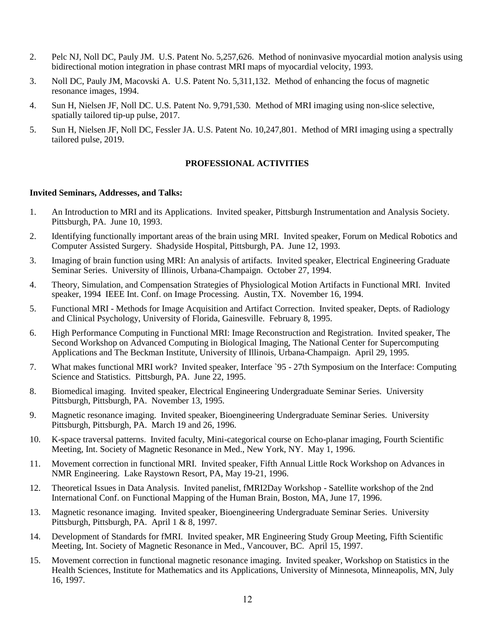- 2. Pelc NJ, Noll DC, Pauly JM. U.S. Patent No. 5,257,626. Method of noninvasive myocardial motion analysis using bidirectional motion integration in phase contrast MRI maps of myocardial velocity, 1993.
- 3. Noll DC, Pauly JM, Macovski A. U.S. Patent No. 5,311,132. Method of enhancing the focus of magnetic resonance images, 1994.
- 4. Sun H, Nielsen JF, Noll DC. U.S. Patent No. 9,791,530. Method of MRI imaging using non-slice selective, spatially tailored tip-up pulse, 2017.
- 5. Sun H, Nielsen JF, Noll DC, Fessler JA. U.S. Patent No. 10,247,801. Method of MRI imaging using a spectrally tailored pulse, 2019.

## **PROFESSIONAL ACTIVITIES**

### **Invited Seminars, Addresses, and Talks:**

- 1. An Introduction to MRI and its Applications. Invited speaker, Pittsburgh Instrumentation and Analysis Society. Pittsburgh, PA. June 10, 1993.
- 2. Identifying functionally important areas of the brain using MRI. Invited speaker, Forum on Medical Robotics and Computer Assisted Surgery. Shadyside Hospital, Pittsburgh, PA. June 12, 1993.
- 3. Imaging of brain function using MRI: An analysis of artifacts. Invited speaker, Electrical Engineering Graduate Seminar Series. University of Illinois, Urbana-Champaign. October 27, 1994.
- 4. Theory, Simulation, and Compensation Strategies of Physiological Motion Artifacts in Functional MRI. Invited speaker, 1994 IEEE Int. Conf. on Image Processing. Austin, TX. November 16, 1994.
- 5. Functional MRI Methods for Image Acquisition and Artifact Correction. Invited speaker, Depts. of Radiology and Clinical Psychology, University of Florida, Gainesville. February 8, 1995.
- 6. High Performance Computing in Functional MRI: Image Reconstruction and Registration. Invited speaker, The Second Workshop on Advanced Computing in Biological Imaging, The National Center for Supercomputing Applications and The Beckman Institute, University of Illinois, Urbana-Champaign. April 29, 1995.
- 7. What makes functional MRI work? Invited speaker, Interface `95 27th Symposium on the Interface: Computing Science and Statistics. Pittsburgh, PA. June 22, 1995.
- 8. Biomedical imaging. Invited speaker, Electrical Engineering Undergraduate Seminar Series. University Pittsburgh, Pittsburgh, PA. November 13, 1995.
- 9. Magnetic resonance imaging. Invited speaker, Bioengineering Undergraduate Seminar Series. University Pittsburgh, Pittsburgh, PA. March 19 and 26, 1996.
- 10. K-space traversal patterns. Invited faculty, Mini-categorical course on Echo-planar imaging, Fourth Scientific Meeting, Int. Society of Magnetic Resonance in Med., New York, NY. May 1, 1996.
- 11. Movement correction in functional MRI. Invited speaker, Fifth Annual Little Rock Workshop on Advances in NMR Engineering. Lake Raystown Resort, PA, May 19-21, 1996.
- 12. Theoretical Issues in Data Analysis. Invited panelist, fMRI2Day Workshop Satellite workshop of the 2nd International Conf. on Functional Mapping of the Human Brain, Boston, MA, June 17, 1996.
- 13. Magnetic resonance imaging. Invited speaker, Bioengineering Undergraduate Seminar Series. University Pittsburgh, Pittsburgh, PA. April 1 & 8, 1997.
- 14. Development of Standards for fMRI. Invited speaker, MR Engineering Study Group Meeting, Fifth Scientific Meeting, Int. Society of Magnetic Resonance in Med., Vancouver, BC. April 15, 1997.
- 15. Movement correction in functional magnetic resonance imaging. Invited speaker, Workshop on Statistics in the Health Sciences, Institute for Mathematics and its Applications, University of Minnesota, Minneapolis, MN, July 16, 1997.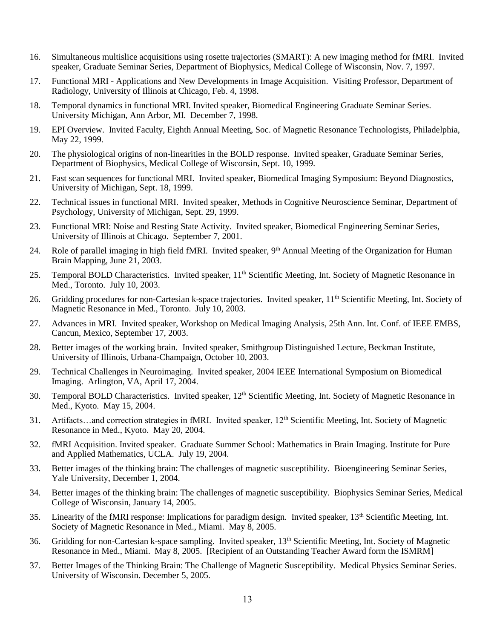- 16. Simultaneous multislice acquisitions using rosette trajectories (SMART): A new imaging method for fMRI. Invited speaker, Graduate Seminar Series, Department of Biophysics, Medical College of Wisconsin, Nov. 7, 1997.
- 17. Functional MRI Applications and New Developments in Image Acquisition. Visiting Professor, Department of Radiology, University of Illinois at Chicago, Feb. 4, 1998.
- 18. Temporal dynamics in functional MRI. Invited speaker, Biomedical Engineering Graduate Seminar Series. University Michigan, Ann Arbor, MI. December 7, 1998.
- 19. EPI Overview. Invited Faculty, Eighth Annual Meeting, Soc. of Magnetic Resonance Technologists, Philadelphia, May 22, 1999.
- 20. The physiological origins of non-linearities in the BOLD response. Invited speaker, Graduate Seminar Series, Department of Biophysics, Medical College of Wisconsin, Sept. 10, 1999.
- 21. Fast scan sequences for functional MRI. Invited speaker, Biomedical Imaging Symposium: Beyond Diagnostics, University of Michigan, Sept. 18, 1999.
- 22. Technical issues in functional MRI. Invited speaker, Methods in Cognitive Neuroscience Seminar, Department of Psychology, University of Michigan, Sept. 29, 1999.
- 23. Functional MRI: Noise and Resting State Activity. Invited speaker, Biomedical Engineering Seminar Series, University of Illinois at Chicago. September 7, 2001.
- 24. Role of parallel imaging in high field fMRI. Invited speaker,  $9<sup>th</sup>$  Annual Meeting of the Organization for Human Brain Mapping, June 21, 2003.
- 25. Temporal BOLD Characteristics. Invited speaker, 11<sup>th</sup> Scientific Meeting, Int. Society of Magnetic Resonance in Med., Toronto. July 10, 2003.
- 26. Gridding procedures for non-Cartesian k-space trajectories. Invited speaker,  $11<sup>th</sup>$  Scientific Meeting, Int. Society of Magnetic Resonance in Med., Toronto. July 10, 2003.
- 27. Advances in MRI. Invited speaker, Workshop on Medical Imaging Analysis, 25th Ann. Int. Conf. of IEEE EMBS, Cancun, Mexico, September 17, 2003.
- 28. Better images of the working brain. Invited speaker, Smithgroup Distinguished Lecture, Beckman Institute, University of Illinois, Urbana-Champaign, October 10, 2003.
- 29. Technical Challenges in Neuroimaging. Invited speaker, 2004 IEEE International Symposium on Biomedical Imaging. Arlington, VA, April 17, 2004.
- 30. Temporal BOLD Characteristics. Invited speaker, 12<sup>th</sup> Scientific Meeting, Int. Society of Magnetic Resonance in Med., Kyoto. May 15, 2004.
- 31. Artifacts…and correction strategies in fMRI. Invited speaker, 12<sup>th</sup> Scientific Meeting, Int. Society of Magnetic Resonance in Med., Kyoto. May 20, 2004.
- 32. fMRI Acquisition. Invited speaker. Graduate Summer School: Mathematics in Brain Imaging. Institute for Pure and Applied Mathematics, UCLA. July 19, 2004.
- 33. Better images of the thinking brain: The challenges of magnetic susceptibility. Bioengineering Seminar Series, Yale University, December 1, 2004.
- 34. Better images of the thinking brain: The challenges of magnetic susceptibility. Biophysics Seminar Series, Medical College of Wisconsin, January 14, 2005.
- 35. Linearity of the fMRI response: Implications for paradigm design. Invited speaker,  $13<sup>th</sup>$  Scientific Meeting, Int. Society of Magnetic Resonance in Med., Miami. May 8, 2005.
- 36. Gridding for non-Cartesian k-space sampling. Invited speaker, 13<sup>th</sup> Scientific Meeting, Int. Society of Magnetic Resonance in Med., Miami. May 8, 2005. [Recipient of an Outstanding Teacher Award form the ISMRM]
- 37. Better Images of the Thinking Brain: The Challenge of Magnetic Susceptibility. Medical Physics Seminar Series. University of Wisconsin. December 5, 2005.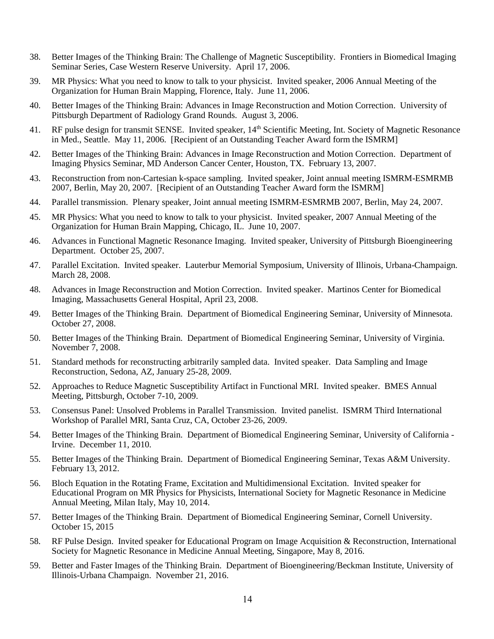- 38. Better Images of the Thinking Brain: The Challenge of Magnetic Susceptibility. Frontiers in Biomedical Imaging Seminar Series, Case Western Reserve University. April 17, 2006.
- 39. MR Physics: What you need to know to talk to your physicist. Invited speaker, 2006 Annual Meeting of the Organization for Human Brain Mapping, Florence, Italy. June 11, 2006.
- 40. Better Images of the Thinking Brain: Advances in Image Reconstruction and Motion Correction. University of Pittsburgh Department of Radiology Grand Rounds. August 3, 2006.
- 41. RF pulse design for transmit SENSE. Invited speaker, 14<sup>th</sup> Scientific Meeting, Int. Society of Magnetic Resonance in Med., Seattle. May 11, 2006. [Recipient of an Outstanding Teacher Award form the ISMRM]
- 42. Better Images of the Thinking Brain: Advances in Image Reconstruction and Motion Correction. Department of Imaging Physics Seminar, MD Anderson Cancer Center, Houston, TX. February 13, 2007.
- 43. Reconstruction from non-Cartesian k-space sampling. Invited speaker, Joint annual meeting ISMRM-ESMRMB 2007, Berlin, May 20, 2007. [Recipient of an Outstanding Teacher Award form the ISMRM]
- 44. Parallel transmission. Plenary speaker, Joint annual meeting ISMRM-ESMRMB 2007, Berlin, May 24, 2007.
- 45. MR Physics: What you need to know to talk to your physicist. Invited speaker, 2007 Annual Meeting of the Organization for Human Brain Mapping, Chicago, IL. June 10, 2007.
- 46. Advances in Functional Magnetic Resonance Imaging. Invited speaker, University of Pittsburgh Bioengineering Department. October 25, 2007.
- 47. Parallel Excitation. Invited speaker. Lauterbur Memorial Symposium, University of Illinois, Urbana-Champaign. March 28, 2008.
- 48. Advances in Image Reconstruction and Motion Correction. Invited speaker. Martinos Center for Biomedical Imaging, Massachusetts General Hospital, April 23, 2008.
- 49. Better Images of the Thinking Brain. Department of Biomedical Engineering Seminar, University of Minnesota. October 27, 2008.
- 50. Better Images of the Thinking Brain. Department of Biomedical Engineering Seminar, University of Virginia. November 7, 2008.
- 51. Standard methods for reconstructing arbitrarily sampled data. Invited speaker. Data Sampling and Image Reconstruction, Sedona, AZ, January 25-28, 2009.
- 52. Approaches to Reduce Magnetic Susceptibility Artifact in Functional MRI. Invited speaker. BMES Annual Meeting, Pittsburgh, October 7-10, 2009.
- 53. Consensus Panel: Unsolved Problems in Parallel Transmission. Invited panelist. ISMRM Third International Workshop of Parallel MRI, Santa Cruz, CA, October 23-26, 2009.
- 54. Better Images of the Thinking Brain. Department of Biomedical Engineering Seminar, University of California Irvine. December 11, 2010.
- 55. Better Images of the Thinking Brain. Department of Biomedical Engineering Seminar, Texas A&M University. February 13, 2012.
- 56. Bloch Equation in the Rotating Frame, Excitation and Multidimensional Excitation. Invited speaker for Educational Program on MR Physics for Physicists, International Society for Magnetic Resonance in Medicine Annual Meeting, Milan Italy, May 10, 2014.
- 57. Better Images of the Thinking Brain. Department of Biomedical Engineering Seminar, Cornell University. October 15, 2015
- 58. RF Pulse Design. Invited speaker for Educational Program on Image Acquisition & Reconstruction, International Society for Magnetic Resonance in Medicine Annual Meeting, Singapore, May 8, 2016.
- 59. Better and Faster Images of the Thinking Brain. Department of Bioengineering/Beckman Institute, University of Illinois-Urbana Champaign. November 21, 2016.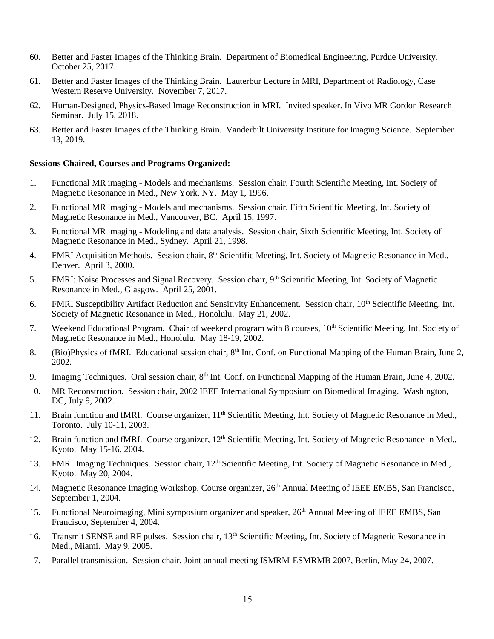- 60. Better and Faster Images of the Thinking Brain. Department of Biomedical Engineering, Purdue University. October 25, 2017.
- 61. Better and Faster Images of the Thinking Brain. Lauterbur Lecture in MRI, Department of Radiology, Case Western Reserve University. November 7, 2017.
- 62. Human-Designed, Physics-Based Image Reconstruction in MRI. Invited speaker. In Vivo MR Gordon Research Seminar. July 15, 2018.
- 63. Better and Faster Images of the Thinking Brain. Vanderbilt University Institute for Imaging Science. September 13, 2019.

#### **Sessions Chaired, Courses and Programs Organized:**

- 1. Functional MR imaging Models and mechanisms. Session chair, Fourth Scientific Meeting, Int. Society of Magnetic Resonance in Med., New York, NY. May 1, 1996.
- 2. Functional MR imaging Models and mechanisms. Session chair, Fifth Scientific Meeting, Int. Society of Magnetic Resonance in Med., Vancouver, BC. April 15, 1997.
- 3. Functional MR imaging Modeling and data analysis. Session chair, Sixth Scientific Meeting, Int. Society of Magnetic Resonance in Med., Sydney. April 21, 1998.
- 4. FMRI Acquisition Methods. Session chair, 8<sup>th</sup> Scientific Meeting, Int. Society of Magnetic Resonance in Med., Denver. April 3, 2000.
- 5. FMRI: Noise Processes and Signal Recovery. Session chair, 9<sup>th</sup> Scientific Meeting, Int. Society of Magnetic Resonance in Med., Glasgow. April 25, 2001.
- 6. FMRI Susceptibility Artifact Reduction and Sensitivity Enhancement. Session chair, 10<sup>th</sup> Scientific Meeting, Int. Society of Magnetic Resonance in Med., Honolulu. May 21, 2002.
- 7. Weekend Educational Program. Chair of weekend program with 8 courses, 10<sup>th</sup> Scientific Meeting, Int. Society of Magnetic Resonance in Med., Honolulu. May 18-19, 2002.
- 8. (Bio)Physics of fMRI. Educational session chair, 8<sup>th</sup> Int. Conf. on Functional Mapping of the Human Brain, June 2, 2002.
- 9. Imaging Techniques. Oral session chair, 8<sup>th</sup> Int. Conf. on Functional Mapping of the Human Brain, June 4, 2002.
- 10. MR Reconstruction. Session chair, 2002 IEEE International Symposium on Biomedical Imaging. Washington, DC, July 9, 2002.
- 11. Brain function and fMRI. Course organizer, 11<sup>th</sup> Scientific Meeting, Int. Society of Magnetic Resonance in Med., Toronto. July 10-11, 2003.
- 12. Brain function and fMRI. Course organizer, 12<sup>th</sup> Scientific Meeting, Int. Society of Magnetic Resonance in Med., Kyoto. May 15-16, 2004.
- 13. FMRI Imaging Techniques. Session chair, 12<sup>th</sup> Scientific Meeting, Int. Society of Magnetic Resonance in Med., Kyoto. May 20, 2004.
- 14. Magnetic Resonance Imaging Workshop, Course organizer, 26<sup>th</sup> Annual Meeting of IEEE EMBS, San Francisco, September 1, 2004.
- 15. Functional Neuroimaging, Mini symposium organizer and speaker,  $26<sup>th</sup>$  Annual Meeting of IEEE EMBS, San Francisco, September 4, 2004.
- 16. Transmit SENSE and RF pulses. Session chair, 13<sup>th</sup> Scientific Meeting, Int. Society of Magnetic Resonance in Med., Miami. May 9, 2005.
- 17. Parallel transmission. Session chair, Joint annual meeting ISMRM-ESMRMB 2007, Berlin, May 24, 2007.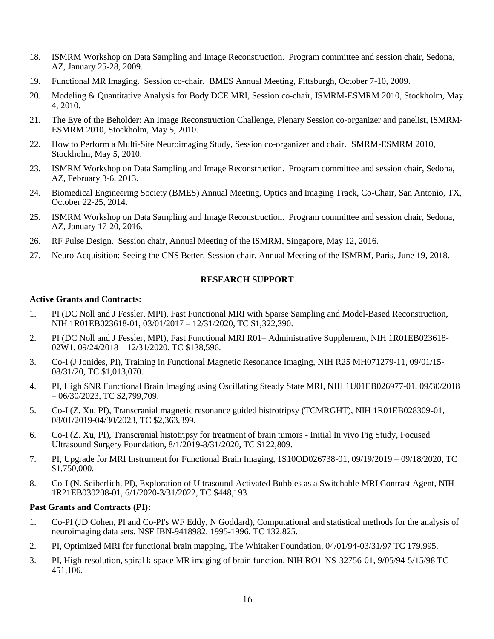- 18. ISMRM Workshop on Data Sampling and Image Reconstruction. Program committee and session chair, Sedona, AZ, January 25-28, 2009.
- 19. Functional MR Imaging. Session co-chair. BMES Annual Meeting, Pittsburgh, October 7-10, 2009.
- 20. Modeling & Quantitative Analysis for Body DCE MRI, Session co-chair, ISMRM-ESMRM 2010, Stockholm, May 4, 2010.
- 21. The Eye of the Beholder: An Image Reconstruction Challenge, Plenary Session co-organizer and panelist, ISMRM-ESMRM 2010, Stockholm, May 5, 2010.
- 22. How to Perform a Multi-Site Neuroimaging Study, Session co-organizer and chair. ISMRM-ESMRM 2010, Stockholm, May 5, 2010.
- 23. ISMRM Workshop on Data Sampling and Image Reconstruction. Program committee and session chair, Sedona, AZ, February 3-6, 2013.
- 24. Biomedical Engineering Society (BMES) Annual Meeting, Optics and Imaging Track, Co-Chair, San Antonio, TX, October 22-25, 2014.
- 25. ISMRM Workshop on Data Sampling and Image Reconstruction. Program committee and session chair, Sedona, AZ, January 17-20, 2016.
- 26. RF Pulse Design. Session chair, Annual Meeting of the ISMRM, Singapore, May 12, 2016.
- 27. Neuro Acquisition: Seeing the CNS Better, Session chair, Annual Meeting of the ISMRM, Paris, June 19, 2018.

## **RESEARCH SUPPORT**

## **Active Grants and Contracts:**

- 1. PI (DC Noll and J Fessler, MPI), Fast Functional MRI with Sparse Sampling and Model-Based Reconstruction, NIH 1R01EB023618-01, 03/01/2017 – 12/31/2020, TC \$1,322,390.
- 2. PI (DC Noll and J Fessler, MPI), Fast Functional MRI R01– Administrative Supplement, NIH 1R01EB023618- 02W1, 09/24/2018 – 12/31/2020, TC \$138,596.
- 3. Co-I (J Jonides, PI), Training in Functional Magnetic Resonance Imaging, NIH R25 MH071279-11, 09/01/15- 08/31/20, TC \$1,013,070.
- 4. PI, High SNR Functional Brain Imaging using Oscillating Steady State MRI, NIH 1U01EB026977-01, 09/30/2018  $-06/30/2023$ , TC \$2,799,709.
- 5. Co-I (Z. Xu, PI), Transcranial magnetic resonance guided histrotripsy (TCMRGHT), NIH 1R01EB028309-01, 08/01/2019-04/30/2023, TC \$2,363,399.
- 6. Co-I (Z. Xu, PI), Transcranial histotripsy for treatment of brain tumors Initial In vivo Pig Study, Focused Ultrasound Surgery Foundation, 8/1/2019-8/31/2020, TC \$122,809.
- 7. PI, Upgrade for MRI Instrument for Functional Brain Imaging, 1S10OD026738-01, 09/19/2019 09/18/2020, TC \$1,750,000.
- 8. Co-I (N. Seiberlich, PI), Exploration of Ultrasound-Activated Bubbles as a Switchable MRI Contrast Agent, NIH 1R21EB030208-01, 6/1/2020-3/31/2022, TC \$448,193.

### **Past Grants and Contracts (PI):**

- 1. Co-PI (JD Cohen, PI and Co-PI's WF Eddy, N Goddard), Computational and statistical methods for the analysis of neuroimaging data sets, NSF IBN-9418982, 1995-1996, TC 132,825.
- 2. PI, Optimized MRI for functional brain mapping, The Whitaker Foundation, 04/01/94-03/31/97 TC 179,995.
- 3. PI, High-resolution, spiral k-space MR imaging of brain function, NIH RO1-NS-32756-01, 9/05/94-5/15/98 TC 451,106.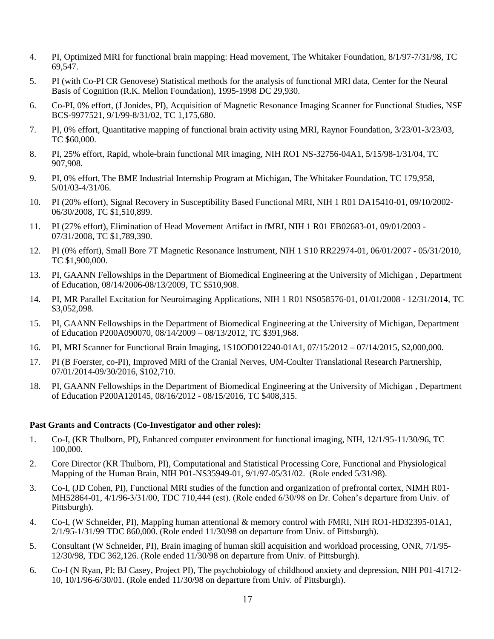- 4. PI, Optimized MRI for functional brain mapping: Head movement, The Whitaker Foundation, 8/1/97-7/31/98, TC 69,547.
- 5. PI (with Co-PI CR Genovese) Statistical methods for the analysis of functional MRI data, Center for the Neural Basis of Cognition (R.K. Mellon Foundation), 1995-1998 DC 29,930.
- 6. Co-PI, 0% effort, (J Jonides, PI), Acquisition of Magnetic Resonance Imaging Scanner for Functional Studies, NSF BCS-9977521, 9/1/99-8/31/02, TC 1,175,680.
- 7. PI, 0% effort, Quantitative mapping of functional brain activity using MRI, Raynor Foundation, 3/23/01-3/23/03, TC \$60,000.
- 8. PI, 25% effort, Rapid, whole-brain functional MR imaging, NIH RO1 NS-32756-04A1, 5/15/98-1/31/04, TC 907,908.
- 9. PI, 0% effort, The BME Industrial Internship Program at Michigan, The Whitaker Foundation, TC 179,958, 5/01/03-4/31/06.
- 10. PI (20% effort), Signal Recovery in Susceptibility Based Functional MRI, NIH 1 R01 DA15410-01, 09/10/2002- 06/30/2008, TC \$1,510,899.
- 11. PI (27% effort), Elimination of Head Movement Artifact in fMRI, NIH 1 R01 EB02683-01, 09/01/2003 07/31/2008, TC \$1,789,390.
- 12. PI (0% effort), Small Bore 7T Magnetic Resonance Instrument, NIH 1 S10 RR22974-01, 06/01/2007 05/31/2010, TC \$1,900,000.
- 13. PI, GAANN Fellowships in the Department of Biomedical Engineering at the University of Michigan , Department of Education, 08/14/2006-08/13/2009, TC \$510,908.
- 14. PI, MR Parallel Excitation for Neuroimaging Applications, NIH 1 R01 NS058576-01, 01/01/2008 12/31/2014, TC \$3,052,098.
- 15. PI, GAANN Fellowships in the Department of Biomedical Engineering at the University of Michigan, Department of Education P200A090070, 08/14/2009 – 08/13/2012, TC \$391,968.
- 16. PI, MRI Scanner for Functional Brain Imaging, 1S10OD012240-01A1, 07/15/2012 07/14/2015, \$2,000,000.
- 17. PI (B Foerster, co-PI), Improved MRI of the Cranial Nerves, UM-Coulter Translational Research Partnership, 07/01/2014-09/30/2016, \$102,710.
- 18. PI, GAANN Fellowships in the Department of Biomedical Engineering at the University of Michigan , Department of Education P200A120145, 08/16/2012 - 08/15/2016, TC \$408,315.

## **Past Grants and Contracts (Co-Investigator and other roles):**

- 1. Co-I, (KR Thulborn, PI), Enhanced computer environment for functional imaging, NIH, 12/1/95-11/30/96, TC 100,000.
- 2. Core Director (KR Thulborn, PI), Computational and Statistical Processing Core, Functional and Physiological Mapping of the Human Brain, NIH P01-NS35949-01, 9/1/97-05/31/02. (Role ended 5/31/98).
- 3. Co-I, (JD Cohen, PI), Functional MRI studies of the function and organization of prefrontal cortex, NIMH R01- MH52864-01, 4/1/96-3/31/00, TDC 710,444 (est). (Role ended 6/30/98 on Dr. Cohen's departure from Univ. of Pittsburgh).
- 4. Co-I, (W Schneider, PI), Mapping human attentional & memory control with FMRI, NIH RO1-HD32395-01A1, 2/1/95-1/31/99 TDC 860,000. (Role ended 11/30/98 on departure from Univ. of Pittsburgh).
- 5. Consultant (W Schneider, PI), Brain imaging of human skill acquisition and workload processing, ONR, 7/1/95- 12/30/98, TDC 362,126. (Role ended 11/30/98 on departure from Univ. of Pittsburgh).
- 6. Co-I (N Ryan, PI; BJ Casey, Project PI), The psychobiology of childhood anxiety and depression, NIH P01-41712- 10, 10/1/96-6/30/01. (Role ended 11/30/98 on departure from Univ. of Pittsburgh).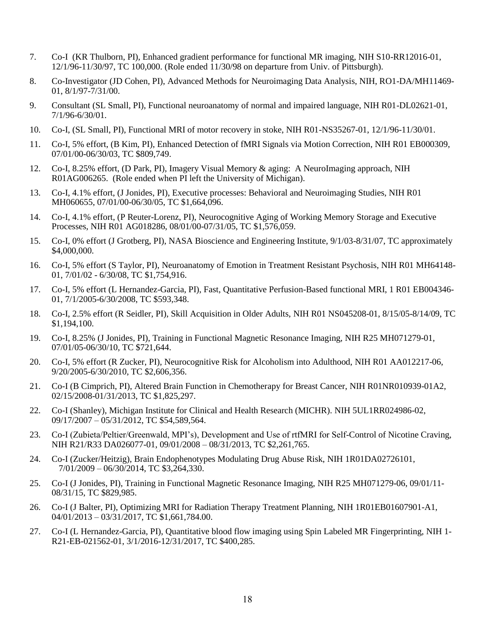- 7. Co-I (KR Thulborn, PI), Enhanced gradient performance for functional MR imaging, NIH S10-RR12016-01, 12/1/96-11/30/97, TC 100,000. (Role ended 11/30/98 on departure from Univ. of Pittsburgh).
- 8. Co-Investigator (JD Cohen, PI), Advanced Methods for Neuroimaging Data Analysis, NIH, RO1-DA/MH11469- 01, 8/1/97-7/31/00.
- 9. Consultant (SL Small, PI), Functional neuroanatomy of normal and impaired language, NIH R01-DL02621-01, 7/1/96-6/30/01.
- 10. Co-I, (SL Small, PI), Functional MRI of motor recovery in stoke, NIH R01-NS35267-01, 12/1/96-11/30/01.
- 11. Co-I, 5% effort, (B Kim, PI), Enhanced Detection of fMRI Signals via Motion Correction, NIH R01 EB000309, 07/01/00-06/30/03, TC \$809,749.
- 12. Co-I, 8.25% effort, (D Park, PI), Imagery Visual Memory & aging: A NeuroImaging approach, NIH R01AG006265. (Role ended when PI left the University of Michigan).
- 13. Co-I, 4.1% effort, (J Jonides, PI), Executive processes: Behavioral and Neuroimaging Studies, NIH R01 MH060655, 07/01/00-06/30/05, TC \$1,664,096.
- 14. Co-I, 4.1% effort, (P Reuter-Lorenz, PI), Neurocognitive Aging of Working Memory Storage and Executive Processes, NIH R01 AG018286, 08/01/00-07/31/05, TC \$1,576,059.
- 15. Co-I, 0% effort (J Grotberg, PI), NASA Bioscience and Engineering Institute, 9/1/03-8/31/07, TC approximately \$4,000,000.
- 16. Co-I, 5% effort (S Taylor, PI), Neuroanatomy of Emotion in Treatment Resistant Psychosis, NIH R01 MH64148- 01, 7/01/02 - 6/30/08, TC \$1,754,916.
- 17. Co-I, 5% effort (L Hernandez-Garcia, PI), Fast, Quantitative Perfusion-Based functional MRI, 1 R01 EB004346- 01, 7/1/2005-6/30/2008, TC \$593,348.
- 18. Co-I, 2.5% effort (R Seidler, PI), Skill Acquisition in Older Adults, NIH R01 NS045208-01, 8/15/05-8/14/09, TC \$1,194,100.
- 19. Co-I, 8.25% (J Jonides, PI), Training in Functional Magnetic Resonance Imaging, NIH R25 MH071279-01, 07/01/05-06/30/10, TC \$721,644.
- 20. Co-I, 5% effort (R Zucker, PI), Neurocognitive Risk for Alcoholism into Adulthood, NIH R01 AA012217-06, 9/20/2005-6/30/2010, TC \$2,606,356.
- 21. Co-I (B Cimprich, PI), Altered Brain Function in Chemotherapy for Breast Cancer, NIH R01NR010939-01A2, 02/15/2008-01/31/2013, TC \$1,825,297.
- 22. Co-I (Shanley), Michigan Institute for Clinical and Health Research (MICHR). NIH 5UL1RR024986-02, 09/17/2007 – 05/31/2012, TC \$54,589,564.
- 23. Co-I (Zubieta/Peltier/Greenwald, MPI's), Development and Use of rtfMRI for Self-Control of Nicotine Craving, NIH R21/R33 DA026077-01, 09/01/2008 – 08/31/2013, TC \$2,261,765.
- 24. Co-I (Zucker/Heitzig), Brain Endophenotypes Modulating Drug Abuse Risk, NIH 1R01DA02726101, 7/01/2009 – 06/30/2014, TC \$3,264,330.
- 25. Co-I (J Jonides, PI), Training in Functional Magnetic Resonance Imaging, NIH R25 MH071279-06, 09/01/11- 08/31/15, TC \$829,985.
- 26. Co-I (J Balter, PI), Optimizing MRI for Radiation Therapy Treatment Planning, NIH 1R01EB01607901-A1,  $04/01/2013 - 03/31/2017$ , TC \$1,661,784.00.
- 27. Co-I (L Hernandez-Garcia, PI), Quantitative blood flow imaging using Spin Labeled MR Fingerprinting, NIH 1- R21-EB-021562-01, 3/1/2016-12/31/2017, TC \$400,285.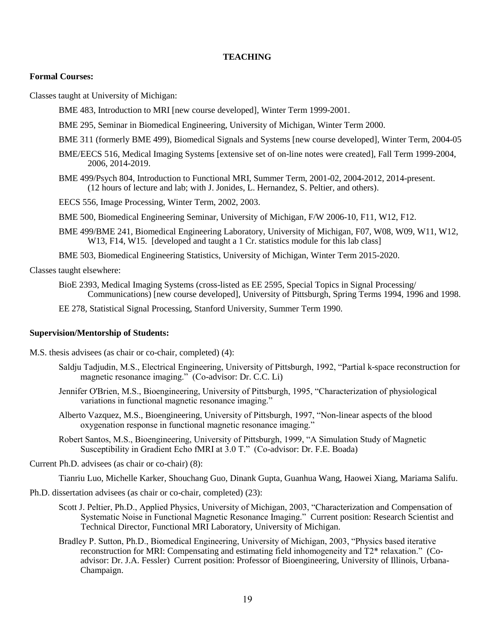### **TEACHING**

#### **Formal Courses:**

Classes taught at University of Michigan:

BME 483, Introduction to MRI [new course developed], Winter Term 1999-2001.

- BME 295, Seminar in Biomedical Engineering, University of Michigan, Winter Term 2000.
- BME 311 (formerly BME 499), Biomedical Signals and Systems [new course developed], Winter Term, 2004-05
- BME/EECS 516, Medical Imaging Systems [extensive set of on-line notes were created], Fall Term 1999-2004, 2006, 2014-2019.
- BME 499/Psych 804, Introduction to Functional MRI, Summer Term, 2001-02, 2004-2012, 2014-present. (12 hours of lecture and lab; with J. Jonides, L. Hernandez, S. Peltier, and others).
- EECS 556, Image Processing, Winter Term, 2002, 2003.
- BME 500, Biomedical Engineering Seminar, University of Michigan, F/W 2006-10, F11, W12, F12.
- BME 499/BME 241, Biomedical Engineering Laboratory, University of Michigan, F07, W08, W09, W11, W12, W13, F14, W15. [developed and taught a 1 Cr. statistics module for this lab class]
- BME 503, Biomedical Engineering Statistics, University of Michigan, Winter Term 2015-2020.

Classes taught elsewhere:

BioE 2393, Medical Imaging Systems (cross-listed as EE 2595, Special Topics in Signal Processing/ Communications) [new course developed], University of Pittsburgh, Spring Terms 1994, 1996 and 1998.

EE 278, Statistical Signal Processing, Stanford University, Summer Term 1990.

### **Supervision/Mentorship of Students:**

- M.S. thesis advisees (as chair or co-chair, completed) (4):
	- Saldju Tadjudin, M.S., Electrical Engineering, University of Pittsburgh, 1992, "Partial k-space reconstruction for magnetic resonance imaging." (Co-advisor: Dr. C.C. Li)
	- Jennifer O'Brien, M.S., Bioengineering, University of Pittsburgh, 1995, "Characterization of physiological variations in functional magnetic resonance imaging."
	- Alberto Vazquez, M.S., Bioengineering, University of Pittsburgh, 1997, "Non-linear aspects of the blood oxygenation response in functional magnetic resonance imaging."
	- Robert Santos, M.S., Bioengineering, University of Pittsburgh, 1999, "A Simulation Study of Magnetic Susceptibility in Gradient Echo fMRI at 3.0 T." (Co-advisor: Dr. F.E. Boada)

Current Ph.D. advisees (as chair or co-chair) (8):

Tianriu Luo, Michelle Karker, Shouchang Guo, Dinank Gupta, Guanhua Wang, Haowei Xiang, Mariama Salifu.

Ph.D. dissertation advisees (as chair or co-chair, completed) (23):

- Scott J. Peltier, Ph.D., Applied Physics, University of Michigan, 2003, "Characterization and Compensation of Systematic Noise in Functional Magnetic Resonance Imaging." Current position: Research Scientist and Technical Director, Functional MRI Laboratory, University of Michigan.
- Bradley P. Sutton, Ph.D., Biomedical Engineering, University of Michigan, 2003, "Physics based iterative reconstruction for MRI: Compensating and estimating field inhomogeneity and T2\* relaxation." (Coadvisor: Dr. J.A. Fessler) Current position: Professor of Bioengineering, University of Illinois, Urbana-Champaign.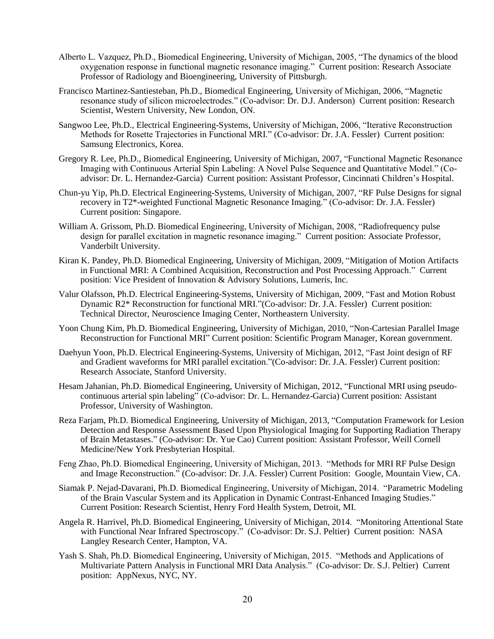- Alberto L. Vazquez, Ph.D., Biomedical Engineering, University of Michigan, 2005, "The dynamics of the blood oxygenation response in functional magnetic resonance imaging." Current position: Research Associate Professor of Radiology and Bioengineering, University of Pittsburgh.
- Francisco Martinez-Santiesteban, Ph.D., Biomedical Engineering, University of Michigan, 2006, "Magnetic resonance study of silicon microelectrodes." (Co-advisor: Dr. D.J. Anderson) Current position: Research Scientist, Western University, New London, ON.
- Sangwoo Lee, Ph.D., Electrical Engineering-Systems, University of Michigan, 2006, "Iterative Reconstruction Methods for Rosette Trajectories in Functional MRI." (Co-advisor: Dr. J.A. Fessler) Current position: Samsung Electronics, Korea.
- Gregory R. Lee, Ph.D., Biomedical Engineering, University of Michigan, 2007, "Functional Magnetic Resonance Imaging with Continuous Arterial Spin Labeling: A Novel Pulse Sequence and Quantitative Model." (Coadvisor: Dr. L. Hernandez-Garcia) Current position: Assistant Professor, Cincinnati Children's Hospital.
- Chun-yu Yip, Ph.D. Electrical Engineering-Systems, University of Michigan, 2007, "RF Pulse Designs for signal recovery in T2\*-weighted Functional Magnetic Resonance Imaging." (Co-advisor: Dr. J.A. Fessler) Current position: Singapore.
- William A. Grissom, Ph.D. Biomedical Engineering, University of Michigan, 2008, "Radiofrequency pulse design for parallel excitation in magnetic resonance imaging." Current position: Associate Professor, Vanderbilt University.
- Kiran K. Pandey, Ph.D. Biomedical Engineering, University of Michigan, 2009, "Mitigation of Motion Artifacts in Functional MRI: A Combined Acquisition, Reconstruction and Post Processing Approach." Current position: Vice President of Innovation & Advisory Solutions, Lumeris, Inc.
- Valur Olafsson, Ph.D. Electrical Engineering-Systems, University of Michigan, 2009, "Fast and Motion Robust Dynamic R2\* Reconstruction for functional MRI."(Co-advisor: Dr. J.A. Fessler) Current position: Technical Director, Neuroscience Imaging Center, Northeastern University.
- Yoon Chung Kim, Ph.D. Biomedical Engineering, University of Michigan, 2010, "Non-Cartesian Parallel Image Reconstruction for Functional MRI" Current position: Scientific Program Manager, Korean government.
- Daehyun Yoon, Ph.D. Electrical Engineering-Systems, University of Michigan, 2012, "Fast Joint design of RF and Gradient waveforms for MRI parallel excitation."(Co-advisor: Dr. J.A. Fessler) Current position: Research Associate, Stanford University.
- Hesam Jahanian, Ph.D. Biomedical Engineering, University of Michigan, 2012, "Functional MRI using pseudocontinuous arterial spin labeling" (Co-advisor: Dr. L. Hernandez-Garcia) Current position: Assistant Professor, University of Washington.
- Reza Farjam, Ph.D. Biomedical Engineering, University of Michigan, 2013, "Computation Framework for Lesion Detection and Response Assessment Based Upon Physiological Imaging for Supporting Radiation Therapy of Brain Metastases." (Co-advisor: Dr. Yue Cao) Current position: Assistant Professor, Weill Cornell Medicine/New York Presbyterian Hospital.
- Feng Zhao, Ph.D. Biomedical Engineering, University of Michigan, 2013. "Methods for MRI RF Pulse Design and Image Reconstruction." (Co-advisor: Dr. J.A. Fessler) Current Position: Google, Mountain View, CA.
- Siamak P. Nejad-Davarani, Ph.D. Biomedical Engineering, University of Michigan, 2014. "Parametric Modeling of the Brain Vascular System and its Application in Dynamic Contrast-Enhanced Imaging Studies." Current Position: Research Scientist, Henry Ford Health System, Detroit, MI.
- Angela R. Harrivel, Ph.D. Biomedical Engineering, University of Michigan, 2014. "Monitoring Attentional State with Functional Near Infrared Spectroscopy." (Co-advisor: Dr. S.J. Peltier) Current position: NASA Langley Research Center, Hampton, VA.
- Yash S. Shah, Ph.D. Biomedical Engineering, University of Michigan, 2015. "Methods and Applications of Multivariate Pattern Analysis in Functional MRI Data Analysis." (Co-advisor: Dr. S.J. Peltier) Current position: AppNexus, NYC, NY.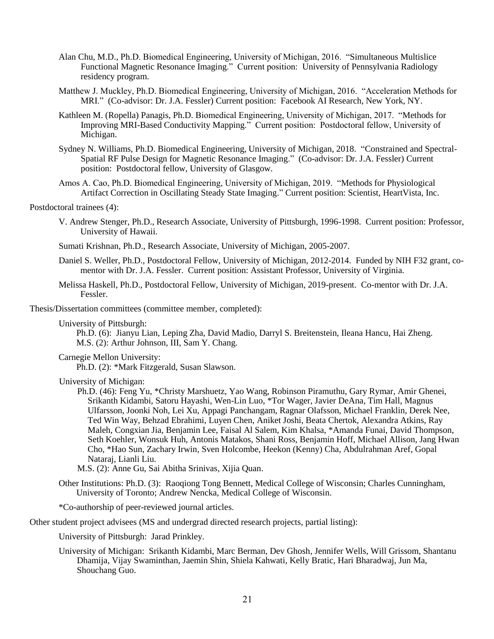- Alan Chu, M.D., Ph.D. Biomedical Engineering, University of Michigan, 2016. "Simultaneous Multislice Functional Magnetic Resonance Imaging." Current position: University of Pennsylvania Radiology residency program.
- Matthew J. Muckley, Ph.D. Biomedical Engineering, University of Michigan, 2016. "Acceleration Methods for MRI." (Co-advisor: Dr. J.A. Fessler) Current position: Facebook AI Research, New York, NY.
- Kathleen M. (Ropella) Panagis, Ph.D. Biomedical Engineering, University of Michigan, 2017. "Methods for Improving MRI-Based Conductivity Mapping." Current position: Postdoctoral fellow, University of Michigan.
- Sydney N. Williams, Ph.D. Biomedical Engineering, University of Michigan, 2018. "Constrained and Spectral-Spatial RF Pulse Design for Magnetic Resonance Imaging." (Co-advisor: Dr. J.A. Fessler) Current position: Postdoctoral fellow, University of Glasgow.
- Amos A. Cao, Ph.D. Biomedical Engineering, University of Michigan, 2019. "Methods for Physiological Artifact Correction in Oscillating Steady State Imaging." Current position: Scientist, HeartVista, Inc.

#### Postdoctoral trainees (4):

- V. Andrew Stenger, Ph.D., Research Associate, University of Pittsburgh, 1996-1998. Current position: Professor, University of Hawaii.
- Sumati Krishnan, Ph.D., Research Associate, University of Michigan, 2005-2007.
- Daniel S. Weller, Ph.D., Postdoctoral Fellow, University of Michigan, 2012-2014. Funded by NIH F32 grant, comentor with Dr. J.A. Fessler. Current position: Assistant Professor, University of Virginia.
- Melissa Haskell, Ph.D., Postdoctoral Fellow, University of Michigan, 2019-present. Co-mentor with Dr. J.A. Fessler.

Thesis/Dissertation committees (committee member, completed):

University of Pittsburgh:

Ph.D. (6): Jianyu Lian, Leping Zha, David Madio, Darryl S. Breitenstein, Ileana Hancu, Hai Zheng. M.S. (2): Arthur Johnson, III, Sam Y. Chang.

Carnegie Mellon University:

Ph.D. (2): \*Mark Fitzgerald, Susan Slawson.

University of Michigan:

Ph.D. (46): Feng Yu, \*Christy Marshuetz, Yao Wang, Robinson Piramuthu, Gary Rymar, Amir Ghenei, Srikanth Kidambi, Satoru Hayashi, Wen-Lin Luo, \*Tor Wager, Javier DeAna, Tim Hall, Magnus Ulfarsson, Joonki Noh, Lei Xu, Appagi Panchangam, Ragnar Olafsson, Michael Franklin, Derek Nee, Ted Win Way, Behzad Ebrahimi, Luyen Chen, Aniket Joshi, Beata Chertok, Alexandra Atkins, Ray Maleh, Congxian Jia, Benjamin Lee, Faisal Al Salem, Kim Khalsa, \*Amanda Funai, David Thompson, Seth Koehler, Wonsuk Huh, Antonis Matakos, Shani Ross, Benjamin Hoff, Michael Allison, Jang Hwan Cho, \*Hao Sun, Zachary Irwin, Sven Holcombe, Heekon (Kenny) Cha, Abdulrahman Aref, Gopal Nataraj, Lianli Liu.

M.S. (2): Anne Gu, Sai Abitha Srinivas, Xijia Quan.

Other Institutions: Ph.D. (3): Raoqiong Tong Bennett, Medical College of Wisconsin; Charles Cunningham, University of Toronto; Andrew Nencka, Medical College of Wisconsin.

\*Co-authorship of peer-reviewed journal articles.

Other student project advisees (MS and undergrad directed research projects, partial listing):

University of Pittsburgh: Jarad Prinkley.

University of Michigan: Srikanth Kidambi, Marc Berman, Dev Ghosh, Jennifer Wells, Will Grissom, Shantanu Dhamija, Vijay Swaminthan, Jaemin Shin, Shiela Kahwati, Kelly Bratic, Hari Bharadwaj, Jun Ma, Shouchang Guo.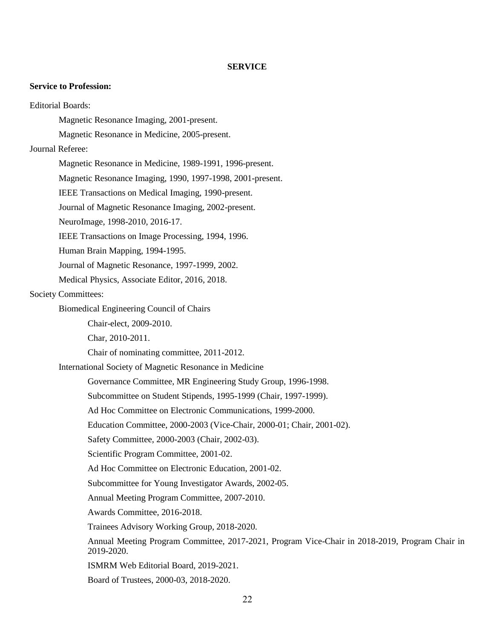## **SERVICE**

### **Service to Profession:**

Editorial Boards: Magnetic Resonance Imaging, 2001-present. Magnetic Resonance in Medicine, 2005-present. Journal Referee: Magnetic Resonance in Medicine, 1989-1991, 1996-present. Magnetic Resonance Imaging, 1990, 1997-1998, 2001-present. IEEE Transactions on Medical Imaging, 1990-present. Journal of Magnetic Resonance Imaging, 2002-present. NeuroImage, 1998-2010, 2016-17. IEEE Transactions on Image Processing, 1994, 1996. Human Brain Mapping, 1994-1995. Journal of Magnetic Resonance, 1997-1999, 2002. Medical Physics, Associate Editor, 2016, 2018. Society Committees: Biomedical Engineering Council of Chairs Chair-elect, 2009-2010. Char, 2010-2011. Chair of nominating committee, 2011-2012. International Society of Magnetic Resonance in Medicine Governance Committee, MR Engineering Study Group, 1996-1998. Subcommittee on Student Stipends, 1995-1999 (Chair, 1997-1999). Ad Hoc Committee on Electronic Communications, 1999-2000. Education Committee, 2000-2003 (Vice-Chair, 2000-01; Chair, 2001-02). Safety Committee, 2000-2003 (Chair, 2002-03). Scientific Program Committee, 2001-02. Ad Hoc Committee on Electronic Education, 2001-02. Subcommittee for Young Investigator Awards, 2002-05. Annual Meeting Program Committee, 2007-2010. Awards Committee, 2016-2018. Trainees Advisory Working Group, 2018-2020. Annual Meeting Program Committee, 2017-2021, Program Vice-Chair in 2018-2019, Program Chair in 2019-2020. ISMRM Web Editorial Board, 2019-2021. Board of Trustees, 2000-03, 2018-2020.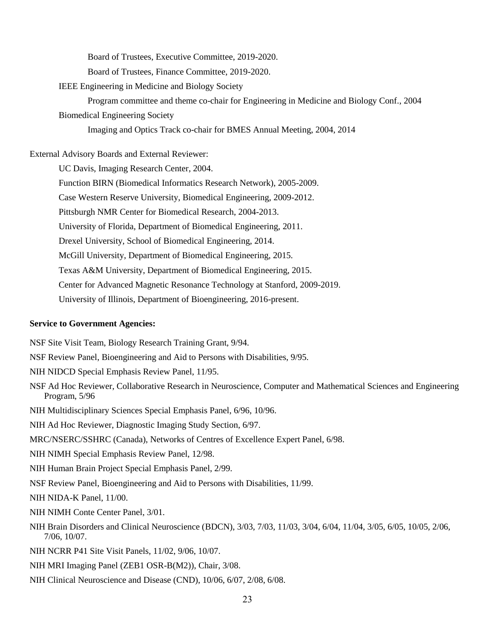Board of Trustees, Executive Committee, 2019-2020.

Board of Trustees, Finance Committee, 2019-2020.

IEEE Engineering in Medicine and Biology Society

Program committee and theme co-chair for Engineering in Medicine and Biology Conf., 2004 Biomedical Engineering Society

Imaging and Optics Track co-chair for BMES Annual Meeting, 2004, 2014

External Advisory Boards and External Reviewer:

UC Davis, Imaging Research Center, 2004.

Function BIRN (Biomedical Informatics Research Network), 2005-2009.

Case Western Reserve University, Biomedical Engineering, 2009-2012.

Pittsburgh NMR Center for Biomedical Research, 2004-2013.

University of Florida, Department of Biomedical Engineering, 2011.

Drexel University, School of Biomedical Engineering, 2014.

McGill University, Department of Biomedical Engineering, 2015.

Texas A&M University, Department of Biomedical Engineering, 2015.

Center for Advanced Magnetic Resonance Technology at Stanford, 2009-2019.

University of Illinois, Department of Bioengineering, 2016-present.

#### **Service to Government Agencies:**

NSF Site Visit Team, Biology Research Training Grant, 9/94.

- NSF Review Panel, Bioengineering and Aid to Persons with Disabilities, 9/95.
- NIH NIDCD Special Emphasis Review Panel, 11/95.
- NSF Ad Hoc Reviewer, Collaborative Research in Neuroscience, Computer and Mathematical Sciences and Engineering Program, 5/96
- NIH Multidisciplinary Sciences Special Emphasis Panel, 6/96, 10/96.
- NIH Ad Hoc Reviewer, Diagnostic Imaging Study Section, 6/97.
- MRC/NSERC/SSHRC (Canada), Networks of Centres of Excellence Expert Panel, 6/98.
- NIH NIMH Special Emphasis Review Panel, 12/98.
- NIH Human Brain Project Special Emphasis Panel, 2/99.
- NSF Review Panel, Bioengineering and Aid to Persons with Disabilities, 11/99.

NIH NIDA-K Panel, 11/00.

- NIH NIMH Conte Center Panel, 3/01.
- NIH Brain Disorders and Clinical Neuroscience (BDCN), 3/03, 7/03, 11/03, 3/04, 6/04, 11/04, 3/05, 6/05, 10/05, 2/06, 7/06, 10/07.
- NIH NCRR P41 Site Visit Panels, 11/02, 9/06, 10/07.
- NIH MRI Imaging Panel (ZEB1 OSR-B(M2)), Chair, 3/08.
- NIH Clinical Neuroscience and Disease (CND), 10/06, 6/07, 2/08, 6/08.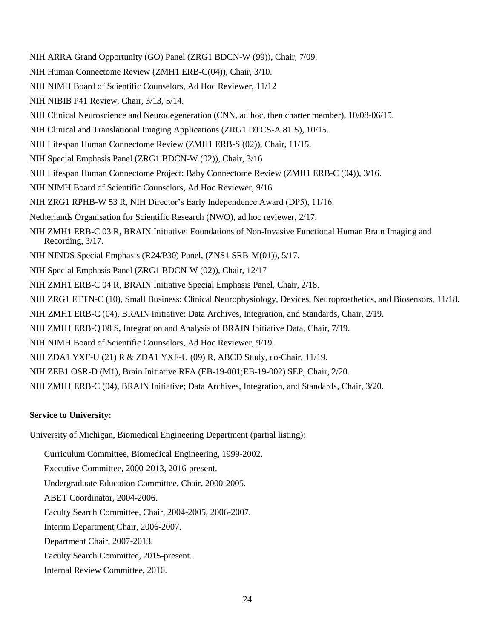- NIH ARRA Grand Opportunity (GO) Panel (ZRG1 BDCN-W (99)), Chair, 7/09.
- NIH Human Connectome Review (ZMH1 ERB-C(04)), Chair, 3/10.
- NIH NIMH Board of Scientific Counselors, Ad Hoc Reviewer, 11/12
- NIH NIBIB P41 Review, Chair, 3/13, 5/14.
- NIH Clinical Neuroscience and Neurodegeneration (CNN, ad hoc, then charter member), 10/08-06/15.
- NIH Clinical and Translational Imaging Applications (ZRG1 DTCS-A 81 S), 10/15.
- NIH Lifespan Human Connectome Review (ZMH1 ERB-S (02)), Chair, 11/15.
- NIH Special Emphasis Panel (ZRG1 BDCN-W (02)), Chair, 3/16
- NIH Lifespan Human Connectome Project: Baby Connectome Review (ZMH1 ERB-C (04)), 3/16.
- NIH NIMH Board of Scientific Counselors, Ad Hoc Reviewer, 9/16
- NIH ZRG1 RPHB-W 53 R, NIH Director's Early Independence Award (DP5), 11/16.
- Netherlands Organisation for Scientific Research (NWO), ad hoc reviewer, 2/17.
- NIH ZMH1 ERB-C 03 R, BRAIN Initiative: Foundations of Non-Invasive Functional Human Brain Imaging and Recording, 3/17.
- NIH NINDS Special Emphasis (R24/P30) Panel, (ZNS1 SRB-M(01)), 5/17.
- NIH Special Emphasis Panel (ZRG1 BDCN-W (02)), Chair, 12/17
- NIH ZMH1 ERB-C 04 R, BRAIN Initiative Special Emphasis Panel, Chair, 2/18.
- NIH ZRG1 ETTN-C (10), Small Business: Clinical Neurophysiology, Devices, Neuroprosthetics, and Biosensors, 11/18.
- NIH ZMH1 ERB-C (04), BRAIN Initiative: Data Archives, Integration, and Standards, Chair, 2/19.
- NIH ZMH1 ERB-Q 08 S, Integration and Analysis of BRAIN Initiative Data, Chair, 7/19.
- NIH NIMH Board of Scientific Counselors, Ad Hoc Reviewer, 9/19.
- NIH ZDA1 YXF-U (21) R & ZDA1 YXF-U (09) R, ABCD Study, co-Chair, 11/19.
- NIH ZEB1 OSR-D (M1), Brain Initiative RFA (EB-19-001;EB-19-002) SEP, Chair, 2/20.
- NIH ZMH1 ERB-C (04), BRAIN Initiative; Data Archives, Integration, and Standards, Chair, 3/20.

## **Service to University:**

University of Michigan, Biomedical Engineering Department (partial listing):

- Curriculum Committee, Biomedical Engineering, 1999-2002.
- Executive Committee, 2000-2013, 2016-present.
- Undergraduate Education Committee, Chair, 2000-2005.
- ABET Coordinator, 2004-2006.
- Faculty Search Committee, Chair, 2004-2005, 2006-2007.
- Interim Department Chair, 2006-2007.
- Department Chair, 2007-2013.
- Faculty Search Committee, 2015-present.
- Internal Review Committee, 2016.